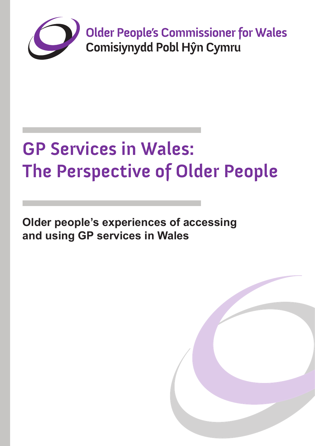

# **GP Services in Wales: The Perspective of Older People**

**Older people's experiences of accessing and using GP services in Wales**

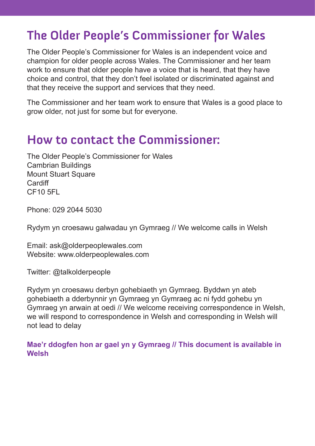## **The Older People's Commissioner for Wales**

The Older People's Commissioner for Wales is an independent voice and champion for older people across Wales. The Commissioner and her team work to ensure that older people have a voice that is heard, that they have choice and control, that they don't feel isolated or discriminated against and that they receive the support and services that they need.

The Commissioner and her team work to ensure that Wales is a good place to grow older, not just for some but for everyone.

## **How to contact the Commissioner:**

The Older People's Commissioner for Wales Cambrian Buildings Mount Stuart Square **Cardiff** CF10 5FL

Phone: 029 2044 5030

Rydym yn croesawu galwadau yn Gymraeg // We welcome calls in Welsh

Email: ask@olderpeoplewales.com Website: www.olderpeoplewales.com

Twitter: @talkolderpeople

Rydym yn croesawu derbyn gohebiaeth yn Gymraeg. Byddwn yn ateb gohebiaeth a dderbynnir yn Gymraeg yn Gymraeg ac ni fydd gohebu yn Gymraeg yn arwain at oedi // We welcome receiving correspondence in Welsh, we will respond to correspondence in Welsh and corresponding in Welsh will not lead to delay

**Mae'r ddogfen hon ar gael yn y Gymraeg // This document is available in Welsh**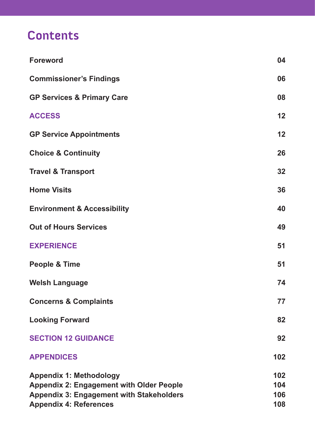## **Contents**

| <b>Foreword</b>                                                                                                                                                       | 04                       |
|-----------------------------------------------------------------------------------------------------------------------------------------------------------------------|--------------------------|
| <b>Commissioner's Findings</b>                                                                                                                                        | 06                       |
| <b>GP Services &amp; Primary Care</b>                                                                                                                                 | 08                       |
| <b>ACCESS</b>                                                                                                                                                         | 12                       |
| <b>GP Service Appointments</b>                                                                                                                                        | 12                       |
| <b>Choice &amp; Continuity</b>                                                                                                                                        | 26                       |
| <b>Travel &amp; Transport</b>                                                                                                                                         | 32                       |
| <b>Home Visits</b>                                                                                                                                                    | 36                       |
| <b>Environment &amp; Accessibility</b>                                                                                                                                | 40                       |
| <b>Out of Hours Services</b>                                                                                                                                          | 49                       |
| <b>EXPERIENCE</b>                                                                                                                                                     | 51                       |
| <b>People &amp; Time</b>                                                                                                                                              | 51                       |
| <b>Welsh Language</b>                                                                                                                                                 | 74                       |
| <b>Concerns &amp; Complaints</b>                                                                                                                                      | 77                       |
| <b>Looking Forward</b>                                                                                                                                                | 82                       |
| <b>SECTION 12 GUIDANCE</b>                                                                                                                                            | 92                       |
| <b>APPENDICES</b>                                                                                                                                                     | 102                      |
| <b>Appendix 1: Methodology</b><br><b>Appendix 2: Engagement with Older People</b><br><b>Appendix 3: Engagement with Stakeholders</b><br><b>Appendix 4: References</b> | 102<br>104<br>106<br>108 |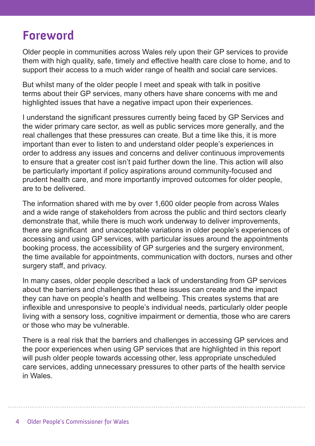## **Foreword**

Older people in communities across Wales rely upon their GP services to provide them with high quality, safe, timely and effective health care close to home, and to support their access to a much wider range of health and social care services.

But whilst many of the older people I meet and speak with talk in positive terms about their GP services, many others have share concerns with me and highlighted issues that have a negative impact upon their experiences.

I understand the significant pressures currently being faced by GP Services and the wider primary care sector, as well as public services more generally, and the real challenges that these pressures can create. But a time like this, it is more important than ever to listen to and understand older people's experiences in order to address any issues and concerns and deliver continuous improvements to ensure that a greater cost isn't paid further down the line. This action will also be particularly important if policy aspirations around community-focused and prudent health care, and more importantly improved outcomes for older people, are to be delivered.

The information shared with me by over 1,600 older people from across Wales and a wide range of stakeholders from across the public and third sectors clearly demonstrate that, while there is much work underway to deliver improvements, there are significant and unacceptable variations in older people's experiences of accessing and using GP services, with particular issues around the appointments booking process, the accessibility of GP surgeries and the surgery environment, the time available for appointments, communication with doctors, nurses and other surgery staff, and privacy.

In many cases, older people described a lack of understanding from GP services about the barriers and challenges that these issues can create and the impact they can have on people's health and wellbeing. This creates systems that are inflexible and unresponsive to people's individual needs, particularly older people living with a sensory loss, cognitive impairment or dementia, those who are carers or those who may be vulnerable.

There is a real risk that the barriers and challenges in accessing GP services and the poor experiences when using GP services that are highlighted in this report will push older people towards accessing other, less appropriate unscheduled care services, adding unnecessary pressures to other parts of the health service in Wales.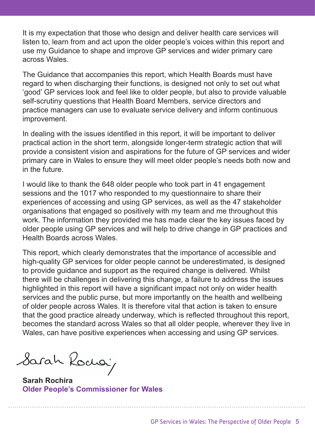It is my expectation that those who design and deliver health care services will listen to, learn from and act upon the older people's voices within this report and use my Guidance to shape and improve GP services and wider primary care across Wales.

The Guidance that accompanies this report, which Health Boards must have regard to when discharging their functions, is designed not only to set out what 'good' GP services look and feel like to older people, but also to provide valuable self-scrutiny questions that Health Board Members, service directors and practice managers can use to evaluate service delivery and inform continuous improvement.

In dealing with the issues identified in this report, it will be important to deliver practical action in the short term, alongside longer-term strategic action that will provide a consistent vision and aspirations for the future of GP services and wider primary care in Wales to ensure they will meet older people's needs both now and in the future.

I would like to thank the 648 older people who took part in 41 engagement sessions and the 1017 who responded to my questionnaire to share their experiences of accessing and using GP services, as well as the 47 stakeholder organisations that engaged so positively with my team and me throughout this work. The information they provided me has made clear the key issues faced by older people using GP services and will help to drive change in GP practices and Health Boards across Wales.

This report, which clearly demonstrates that the importance of accessible and high-quality GP services for older people cannot be underestimated, is designed to provide guidance and support as the required change is delivered. Whilst there will be challenges in delivering this change, a failure to address the issues highlighted in this report will have a significant impact not only on wider health services and the public purse, but more importantly on the health and wellbeing of older people across Wales. It is therefore vital that action is taken to ensure that the good practice already underway, which is reflected throughout this report, becomes the standard across Wales so that all older people, wherever they live in Wales, can have positive experiences when accessing and using GP services.

Sarah Rocher

**Sarah Rochira Older People's Commissioner for Wales**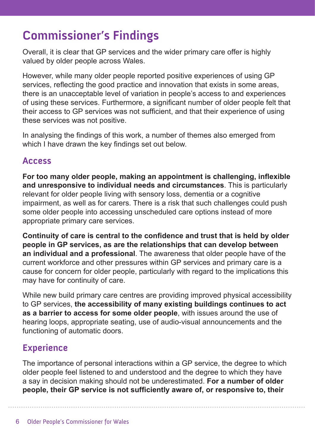## **Commissioner's Findings**

Overall, it is clear that GP services and the wider primary care offer is highly valued by older people across Wales.

However, while many older people reported positive experiences of using GP services, reflecting the good practice and innovation that exists in some areas, there is an unacceptable level of variation in people's access to and experiences of using these services. Furthermore, a significant number of older people felt that their access to GP services was not sufficient, and that their experience of using these services was not positive.

In analysing the findings of this work, a number of themes also emerged from which I have drawn the key findings set out below.

### **Access**

**For too many older people, making an appointment is challenging, inflexible and unresponsive to individual needs and circumstances**. This is particularly relevant for older people living with sensory loss, dementia or a cognitive impairment, as well as for carers. There is a risk that such challenges could push some older people into accessing unscheduled care options instead of more appropriate primary care services.

**Continuity of care is central to the confidence and trust that is held by older people in GP services, as are the relationships that can develop between an individual and a professional**. The awareness that older people have of the current workforce and other pressures within GP services and primary care is a cause for concern for older people, particularly with regard to the implications this may have for continuity of care.

While new build primary care centres are providing improved physical accessibility to GP services, **the accessibility of many existing buildings continues to act as a barrier to access for some older people**, with issues around the use of hearing loops, appropriate seating, use of audio-visual announcements and the functioning of automatic doors.

## **Experience**

The importance of personal interactions within a GP service, the degree to which older people feel listened to and understood and the degree to which they have a say in decision making should not be underestimated. **For a number of older people, their GP service is not sufficiently aware of, or responsive to, their**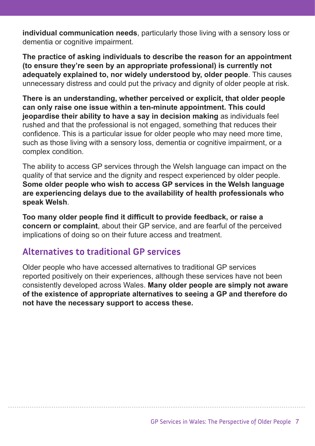**individual communication needs**, particularly those living with a sensory loss or dementia or cognitive impairment.

**The practice of asking individuals to describe the reason for an appointment (to ensure they're seen by an appropriate professional) is currently not adequately explained to, nor widely understood by, older people**. This causes unnecessary distress and could put the privacy and dignity of older people at risk.

**There is an understanding, whether perceived or explicit, that older people can only raise one issue within a ten-minute appointment. This could jeopardise their ability to have a say in decision making** as individuals feel rushed and that the professional is not engaged, something that reduces their confidence. This is a particular issue for older people who may need more time, such as those living with a sensory loss, dementia or cognitive impairment, or a complex condition.

The ability to access GP services through the Welsh language can impact on the quality of that service and the dignity and respect experienced by older people. **Some older people who wish to access GP services in the Welsh language are experiencing delays due to the availability of health professionals who speak Welsh**.

**Too many older people find it difficult to provide feedback, or raise a concern or complaint**, about their GP service, and are fearful of the perceived implications of doing so on their future access and treatment.

## **Alternatives to traditional GP services**

Older people who have accessed alternatives to traditional GP services reported positively on their experiences, although these services have not been consistently developed across Wales. **Many older people are simply not aware of the existence of appropriate alternatives to seeing a GP and therefore do not have the necessary support to access these.**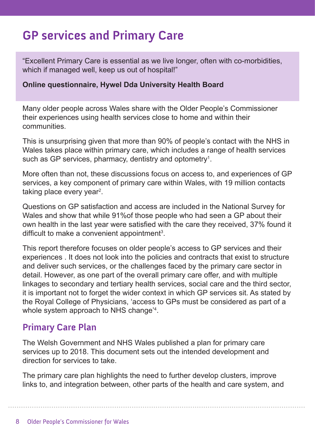## **GP services and Primary Care**

"Excellent Primary Care is essential as we live longer, often with co-morbidities, which if managed well, keep us out of hospital!"

#### **Online questionnaire, Hywel Dda University Health Board**

Many older people across Wales share with the Older People's Commissioner their experiences using health services close to home and within their communities.

This is unsurprising given that more than 90% of people's contact with the NHS in Wales takes place within primary care, which includes a range of health services such as GP services, pharmacy, dentistry and optometry<sup>1</sup>.

More often than not, these discussions focus on access to, and experiences of GP services, a key component of primary care within Wales, with 19 million contacts taking place every year<sup>2</sup>.

Questions on GP satisfaction and access are included in the National Survey for Wales and show that while 91%of those people who had seen a GP about their own health in the last year were satisfied with the care they received, 37% found it difficult to make a convenient appointment<sup>3</sup>.

This report therefore focuses on older people's access to GP services and their experiences . It does not look into the policies and contracts that exist to structure and deliver such services, or the challenges faced by the primary care sector in detail. However, as one part of the overall primary care offer, and with multiple linkages to secondary and tertiary health services, social care and the third sector, it is important not to forget the wider context in which GP services sit. As stated by the Royal College of Physicians, 'access to GPs must be considered as part of a whole system approach to NHS change<sup>'4</sup>.

## **Primary Care Plan**

The Welsh Government and NHS Wales published a plan for primary care services up to 2018. This document sets out the intended development and direction for services to take.

The primary care plan highlights the need to further develop clusters, improve links to, and integration between, other parts of the health and care system, and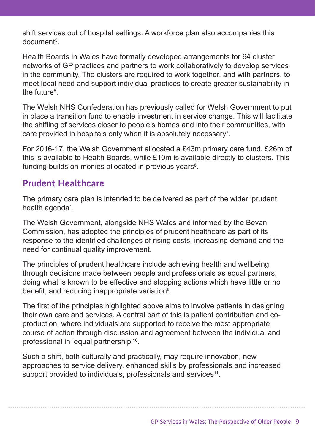shift services out of hospital settings. A workforce plan also accompanies this document<sup>5</sup>.

Health Boards in Wales have formally developed arrangements for 64 cluster networks of GP practices and partners to work collaboratively to develop services in the community. The clusters are required to work together, and with partners, to meet local need and support individual practices to create greater sustainability in the future<sup>6</sup>.

The Welsh NHS Confederation has previously called for Welsh Government to put in place a transition fund to enable investment in service change. This will facilitate the shifting of services closer to people's homes and into their communities, with care provided in hospitals only when it is absolutely necessary<sup>7</sup>.

For 2016-17, the Welsh Government allocated a £43m primary care fund. £26m of this is available to Health Boards, while £10m is available directly to clusters. This funding builds on monies allocated in previous years<sup>8</sup>.

## **Prudent Healthcare**

The primary care plan is intended to be delivered as part of the wider 'prudent health agenda'.

The Welsh Government, alongside NHS Wales and informed by the Bevan Commission, has adopted the principles of prudent healthcare as part of its response to the identified challenges of rising costs, increasing demand and the need for continual quality improvement.

The principles of prudent healthcare include achieving health and wellbeing through decisions made between people and professionals as equal partners, doing what is known to be effective and stopping actions which have little or no benefit, and reducing inappropriate variation<sup>9</sup>.

The first of the principles highlighted above aims to involve patients in designing their own care and services. A central part of this is patient contribution and coproduction, where individuals are supported to receive the most appropriate course of action through discussion and agreement between the individual and professional in 'equal partnership'10.

Such a shift, both culturally and practically, may require innovation, new approaches to service delivery, enhanced skills by professionals and increased support provided to individuals, professionals and services<sup>11</sup>.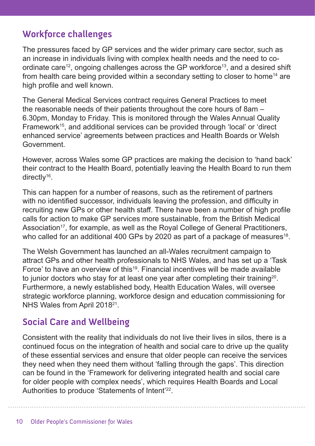## **Workforce challenges**

The pressures faced by GP services and the wider primary care sector, such as an increase in individuals living with complex health needs and the need to coordinate care<sup>12</sup>, ongoing challenges across the GP workforce<sup>13</sup>, and a desired shift from health care being provided within a secondary setting to closer to home<sup>14</sup> are high profile and well known.

The General Medical Services contract requires General Practices to meet the reasonable needs of their patients throughout the core hours of 8am – 6.30pm, Monday to Friday. This is monitored through the Wales Annual Quality Framework<sup>15</sup>, and additional services can be provided through 'local' or 'direct enhanced service' agreements between practices and Health Boards or Welsh Government.

However, across Wales some GP practices are making the decision to 'hand back' their contract to the Health Board, potentially leaving the Health Board to run them directly<sup>16</sup>.

This can happen for a number of reasons, such as the retirement of partners with no identified successor, individuals leaving the profession, and difficulty in recruiting new GPs or other health staff. There have been a number of high profile calls for action to make GP services more sustainable, from the British Medical Association<sup>17</sup>, for example, as well as the Royal College of General Practitioners, who called for an additional 400 GPs by 2020 as part of a package of measures<sup>18</sup>.

The Welsh Government has launched an all-Wales recruitment campaign to attract GPs and other health professionals to NHS Wales, and has set up a 'Task Force' to have an overview of this<sup>19</sup>. Financial incentives will be made available to junior doctors who stay for at least one year after completing their training<sup>20</sup>. Furthermore, a newly established body, Health Education Wales, will oversee strategic workforce planning, workforce design and education commissioning for NHS Wales from April 2018<sup>21</sup>.

## **Social Care and Wellbeing**

Consistent with the reality that individuals do not live their lives in silos, there is a continued focus on the integration of health and social care to drive up the quality of these essential services and ensure that older people can receive the services they need when they need them without 'falling through the gaps'. This direction can be found in the 'Framework for delivering integrated health and social care for older people with complex needs', which requires Health Boards and Local Authorities to produce 'Statements of Intent'22.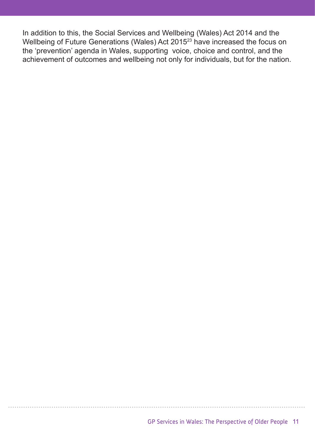In addition to this, the Social Services and Wellbeing (Wales) Act 2014 and the Wellbeing of Future Generations (Wales) Act 2015<sup>23</sup> have increased the focus on the 'prevention' agenda in Wales, supporting voice, choice and control, and the achievement of outcomes and wellbeing not only for individuals, but for the nation.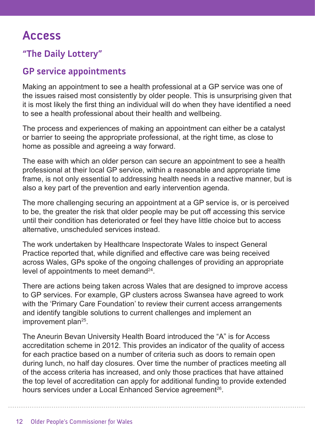## **Access**

## **"The Daily Lottery"**

## **GP service appointments**

Making an appointment to see a health professional at a GP service was one of the issues raised most consistently by older people. This is unsurprising given that it is most likely the first thing an individual will do when they have identified a need to see a health professional about their health and wellbeing.

The process and experiences of making an appointment can either be a catalyst or barrier to seeing the appropriate professional, at the right time, as close to home as possible and agreeing a way forward.

The ease with which an older person can secure an appointment to see a health professional at their local GP service, within a reasonable and appropriate time frame, is not only essential to addressing health needs in a reactive manner, but is also a key part of the prevention and early intervention agenda.

The more challenging securing an appointment at a GP service is, or is perceived to be, the greater the risk that older people may be put off accessing this service until their condition has deteriorated or feel they have little choice but to access alternative, unscheduled services instead.

The work undertaken by Healthcare Inspectorate Wales to inspect General Practice reported that, while dignified and effective care was being received across Wales, GPs spoke of the ongoing challenges of providing an appropriate level of appointments to meet demand<sup>24</sup>.

There are actions being taken across Wales that are designed to improve access to GP services. For example, GP clusters across Swansea have agreed to work with the 'Primary Care Foundation' to review their current access arrangements and identify tangible solutions to current challenges and implement an improvement plan<sup>25</sup>.

The Aneurin Bevan University Health Board introduced the "A" is for Access accreditation scheme in 2012. This provides an indicator of the quality of access for each practice based on a number of criteria such as doors to remain open during lunch, no half day closures. Over time the number of practices meeting all of the access criteria has increased, and only those practices that have attained the top level of accreditation can apply for additional funding to provide extended hours services under a Local Enhanced Service agreement<sup>26</sup>.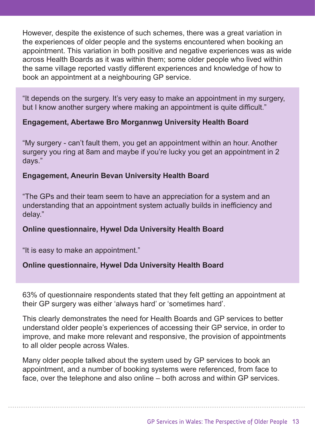However, despite the existence of such schemes, there was a great variation in the experiences of older people and the systems encountered when booking an appointment. This variation in both positive and negative experiences was as wide across Health Boards as it was within them; some older people who lived within the same village reported vastly different experiences and knowledge of how to book an appointment at a neighbouring GP service.

"It depends on the surgery. It's very easy to make an appointment in my surgery, but I know another surgery where making an appointment is quite difficult."

#### **Engagement, Abertawe Bro Morgannwg University Health Board**

"My surgery - can't fault them, you get an appointment within an hour. Another surgery you ring at 8am and maybe if you're lucky you get an appointment in 2 days."

#### **Engagement, Aneurin Bevan University Health Board**

"The GPs and their team seem to have an appreciation for a system and an understanding that an appointment system actually builds in inefficiency and delay."

#### **Online questionnaire, Hywel Dda University Health Board**

"It is easy to make an appointment."

#### **Online questionnaire, Hywel Dda University Health Board**

63% of questionnaire respondents stated that they felt getting an appointment at their GP surgery was either 'always hard' or 'sometimes hard'.

This clearly demonstrates the need for Health Boards and GP services to better understand older people's experiences of accessing their GP service, in order to improve, and make more relevant and responsive, the provision of appointments to all older people across Wales.

Many older people talked about the system used by GP services to book an appointment, and a number of booking systems were referenced, from face to face, over the telephone and also online – both across and within GP services.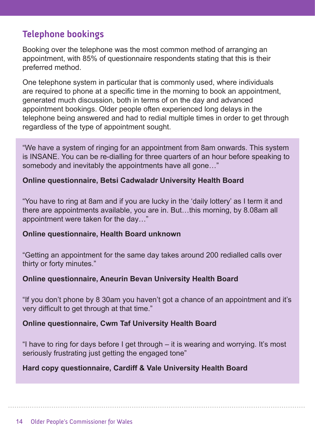## **Telephone bookings**

Booking over the telephone was the most common method of arranging an appointment, with 85% of questionnaire respondents stating that this is their preferred method.

One telephone system in particular that is commonly used, where individuals are required to phone at a specific time in the morning to book an appointment, generated much discussion, both in terms of on the day and advanced appointment bookings. Older people often experienced long delays in the telephone being answered and had to redial multiple times in order to get through regardless of the type of appointment sought.

"We have a system of ringing for an appointment from 8am onwards. This system is INSANE. You can be re-dialling for three quarters of an hour before speaking to somebody and inevitably the appointments have all gone…"

#### **Online questionnaire, Betsi Cadwaladr University Health Board**

"You have to ring at 8am and if you are lucky in the 'daily lottery' as I term it and there are appointments available, you are in. But…this morning, by 8.08am all appointment were taken for the day…"

#### **Online questionnaire, Health Board unknown**

"Getting an appointment for the same day takes around 200 redialled calls over thirty or forty minutes."

#### **Online questionnaire, Aneurin Bevan University Health Board**

"If you don't phone by 8 30am you haven't got a chance of an appointment and it's very difficult to get through at that time."

#### **Online questionnaire, Cwm Taf University Health Board**

"I have to ring for days before I get through – it is wearing and worrying. It's most seriously frustrating just getting the engaged tone"

.........................................................................................................................................

#### **Hard copy questionnaire, Cardiff & Vale University Health Board**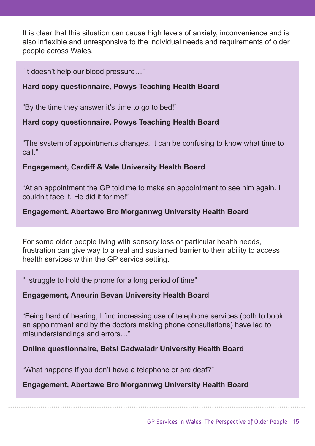It is clear that this situation can cause high levels of anxiety, inconvenience and is also inflexible and unresponsive to the individual needs and requirements of older people across Wales.

"It doesn't help our blood pressure…"

#### **Hard copy questionnaire, Powys Teaching Health Board**

"By the time they answer it's time to go to bed!"

#### **Hard copy questionnaire, Powys Teaching Health Board**

"The system of appointments changes. It can be confusing to know what time to call<sup>"</sup>

#### **Engagement, Cardiff & Vale University Health Board**

"At an appointment the GP told me to make an appointment to see him again. I couldn't face it. He did it for me!"

#### **Engagement, Abertawe Bro Morgannwg University Health Board**

For some older people living with sensory loss or particular health needs, frustration can give way to a real and sustained barrier to their ability to access health services within the GP service setting.

"I struggle to hold the phone for a long period of time"

#### **Engagement, Aneurin Bevan University Health Board**

"Being hard of hearing, I find increasing use of telephone services (both to book an appointment and by the doctors making phone consultations) have led to misunderstandings and errors…"

.........................................................................................................................................

#### **Online questionnaire, Betsi Cadwaladr University Health Board**

"What happens if you don't have a telephone or are deaf?"

#### **Engagement, Abertawe Bro Morgannwg University Health Board**

GP Services in Wales: The Perspective of Older People 15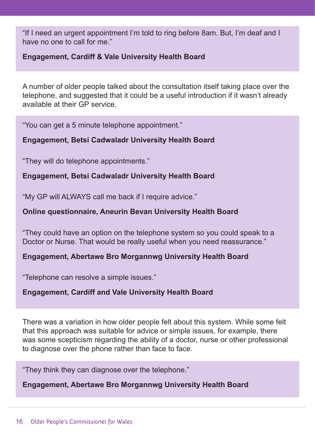"If I need an urgent appointment I'm told to ring before 8am. But, I'm deaf and I have no one to call for me."

#### **Engagement, Cardiff & Vale University Health Board**

A number of older people talked about the consultation itself taking place over the telephone, and suggested that it could be a useful introduction if it wasn't already available at their GP service.

"You can get a 5 minute telephone appointment."

#### **Engagement, Betsi Cadwaladr University Health Board**

"They will do telephone appointments."

**Engagement, Betsi Cadwaladr University Health Board**

"My GP will ALWAYS call me back if I require advice."

#### **Online questionnaire, Aneurin Bevan University Health Board**

"They could have an option on the telephone system so you could speak to a Doctor or Nurse. That would be really useful when you need reassurance."

#### **Engagement, Abertawe Bro Morgannwg University Health Board**

"Telephone can resolve a simple issues."

#### **Engagement, Cardiff and Vale University Health Board**

There was a variation in how older people felt about this system. While some felt that this approach was suitable for advice or simple issues, for example, there was some scepticism regarding the ability of a doctor, nurse or other professional to diagnose over the phone rather than face to face.

.........................................................................................................................................

"They think they can diagnose over the telephone."

**Engagement, Abertawe Bro Morgannwg University Health Board**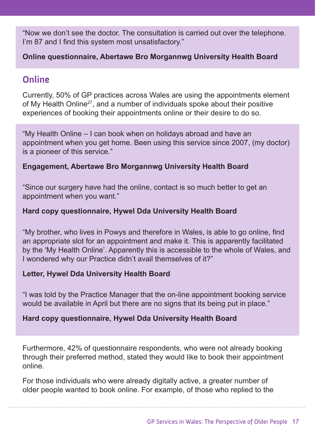"Now we don't see the doctor. The consultation is carried out over the telephone. I'm 87 and I find this system most unsatisfactory."

**Online questionnaire, Abertawe Bro Morgannwg University Health Board**

## **Online**

Currently, 50% of GP practices across Wales are using the appointments element of My Health Online27, and a number of individuals spoke about their positive experiences of booking their appointments online or their desire to do so.

"My Health Online – I can book when on holidays abroad and have an appointment when you get home. Been using this service since 2007, (my doctor) is a pioneer of this service."

#### **Engagement, Abertawe Bro Morgannwg University Health Board**

"Since our surgery have had the online, contact is so much better to get an appointment when you want."

#### **Hard copy questionnaire, Hywel Dda University Health Board**

"My brother, who lives in Powys and therefore in Wales, is able to go online, find an appropriate slot for an appointment and make it. This is apparently facilitated by the 'My Health Online'. Apparently this is accessible to the whole of Wales, and I wondered why our Practice didn't avail themselves of it?"

#### **Letter, Hywel Dda University Health Board**

"I was told by the Practice Manager that the on-line appointment booking service would be available in April but there are no signs that its being put in place."

#### **Hard copy questionnaire, Hywel Dda University Health Board**

Furthermore, 42% of questionnaire respondents, who were not already booking through their preferred method, stated they would like to book their appointment online.

For those individuals who were already digitally active, a greater number of older people wanted to book online. For example, of those who replied to the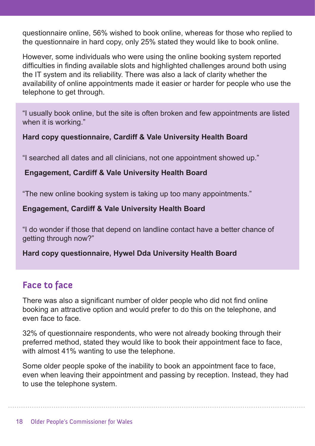questionnaire online, 56% wished to book online, whereas for those who replied to the questionnaire in hard copy, only 25% stated they would like to book online.

However, some individuals who were using the online booking system reported difficulties in finding available slots and highlighted challenges around both using the IT system and its reliability. There was also a lack of clarity whether the availability of online appointments made it easier or harder for people who use the telephone to get through.

"I usually book online, but the site is often broken and few appointments are listed when it is working."

#### **Hard copy questionnaire, Cardiff & Vale University Health Board**

"I searched all dates and all clinicians, not one appointment showed up."

#### **Engagement, Cardiff & Vale University Health Board**

"The new online booking system is taking up too many appointments."

#### **Engagement, Cardiff & Vale University Health Board**

"I do wonder if those that depend on landline contact have a better chance of getting through now?"

#### **Hard copy questionnaire, Hywel Dda University Health Board**

## **Face to face**

There was also a significant number of older people who did not find online booking an attractive option and would prefer to do this on the telephone, and even face to face.

32% of questionnaire respondents, who were not already booking through their preferred method, stated they would like to book their appointment face to face, with almost 41% wanting to use the telephone.

Some older people spoke of the inability to book an appointment face to face, even when leaving their appointment and passing by reception. Instead, they had to use the telephone system.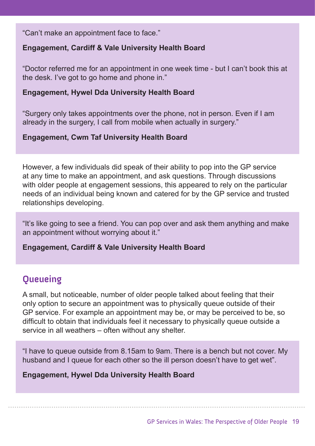"Can't make an appointment face to face."

#### **Engagement, Cardiff & Vale University Health Board**

"Doctor referred me for an appointment in one week time - but I can't book this at the desk. I've got to go home and phone in."

#### **Engagement, Hywel Dda University Health Board**

"Surgery only takes appointments over the phone, not in person. Even if I am already in the surgery, I call from mobile when actually in surgery."

#### **Engagement, Cwm Taf University Health Board**

However, a few individuals did speak of their ability to pop into the GP service at any time to make an appointment, and ask questions. Through discussions with older people at engagement sessions, this appeared to rely on the particular needs of an individual being known and catered for by the GP service and trusted relationships developing.

"It's like going to see a friend. You can pop over and ask them anything and make an appointment without worrying about it."

**Engagement, Cardiff & Vale University Health Board**

## **Queueing**

A small, but noticeable, number of older people talked about feeling that their only option to secure an appointment was to physically queue outside of their GP service. For example an appointment may be, or may be perceived to be, so difficult to obtain that individuals feel it necessary to physically queue outside a service in all weathers – often without any shelter.

"I have to queue outside from 8.15am to 9am. There is a bench but not cover. My husband and I queue for each other so the ill person doesn't have to get wet".

.........................................................................................................................................

**Engagement, Hywel Dda University Health Board**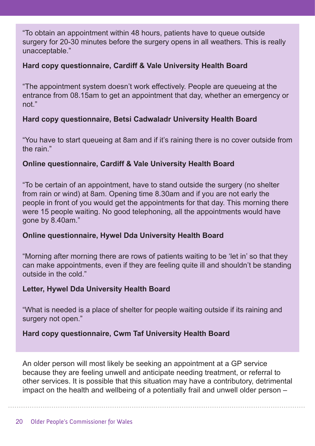"To obtain an appointment within 48 hours, patients have to queue outside surgery for 20-30 minutes before the surgery opens in all weathers. This is really unacceptable."

#### **Hard copy questionnaire, Cardiff & Vale University Health Board**

"The appointment system doesn't work effectively. People are queueing at the entrance from 08.15am to get an appointment that day, whether an emergency or not."

#### **Hard copy questionnaire, Betsi Cadwaladr University Health Board**

"You have to start queueing at 8am and if it's raining there is no cover outside from the rain."

#### **Online questionnaire, Cardiff & Vale University Health Board**

"To be certain of an appointment, have to stand outside the surgery (no shelter from rain or wind) at 8am. Opening time 8.30am and if you are not early the people in front of you would get the appointments for that day. This morning there were 15 people waiting. No good telephoning, all the appointments would have gone by 8.40am."

#### **Online questionnaire, Hywel Dda University Health Board**

"Morning after morning there are rows of patients waiting to be 'let in' so that they can make appointments, even if they are feeling quite ill and shouldn't be standing outside in the cold."

#### **Letter, Hywel Dda University Health Board**

"What is needed is a place of shelter for people waiting outside if its raining and surgery not open."

#### **Hard copy questionnaire, Cwm Taf University Health Board**

An older person will most likely be seeking an appointment at a GP service because they are feeling unwell and anticipate needing treatment, or referral to other services. It is possible that this situation may have a contributory, detrimental impact on the health and wellbeing of a potentially frail and unwell older person –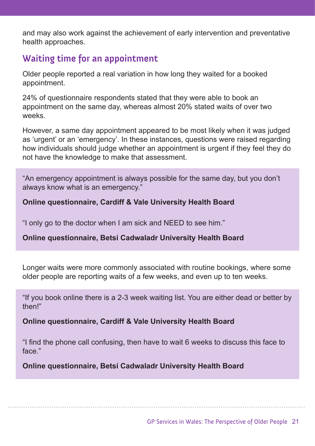and may also work against the achievement of early intervention and preventative health approaches.

## **Waiting time for an appointment**

Older people reported a real variation in how long they waited for a booked appointment.

24% of questionnaire respondents stated that they were able to book an appointment on the same day, whereas almost 20% stated waits of over two weeks.

However, a same day appointment appeared to be most likely when it was judged as 'urgent' or an 'emergency'. In these instances, questions were raised regarding how individuals should judge whether an appointment is urgent if they feel they do not have the knowledge to make that assessment.

"An emergency appointment is always possible for the same day, but you don't always know what is an emergency."

#### **Online questionnaire, Cardiff & Vale University Health Board**

"I only go to the doctor when I am sick and NEED to see him."

#### **Online questionnaire, Betsi Cadwaladr University Health Board**

Longer waits were more commonly associated with routine bookings, where some older people are reporting waits of a few weeks, and even up to ten weeks.

"If you book online there is a 2-3 week waiting list. You are either dead or better by then!"

#### **Online questionnaire, Cardiff & Vale University Health Board**

"I find the phone call confusing, then have to wait 6 weeks to discuss this face to face."

.........................................................................................................................................

**Online questionnaire, Betsi Cadwaladr University Health Board**

GP Services in Wales: The Perspective of Older People 21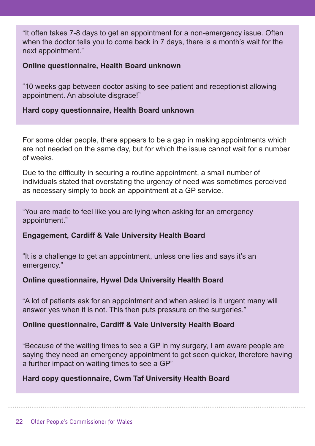"It often takes 7-8 days to get an appointment for a non-emergency issue. Often when the doctor tells you to come back in 7 days, there is a month's wait for the next appointment."

#### **Online questionnaire, Health Board unknown**

"10 weeks gap between doctor asking to see patient and receptionist allowing appointment. An absolute disgrace!"

#### **Hard copy questionnaire, Health Board unknown**

For some older people, there appears to be a gap in making appointments which are not needed on the same day, but for which the issue cannot wait for a number of weeks.

Due to the difficulty in securing a routine appointment, a small number of individuals stated that overstating the urgency of need was sometimes perceived as necessary simply to book an appointment at a GP service.

"You are made to feel like you are lying when asking for an emergency appointment."

#### **Engagement, Cardiff & Vale University Health Board**

"It is a challenge to get an appointment, unless one lies and says it's an emergency."

#### **Online questionnaire, Hywel Dda University Health Board**

"A lot of patients ask for an appointment and when asked is it urgent many will answer yes when it is not. This then puts pressure on the surgeries."

#### **Online questionnaire, Cardiff & Vale University Health Board**

"Because of the waiting times to see a GP in my surgery, I am aware people are saying they need an emergency appointment to get seen quicker, therefore having a further impact on waiting times to see a GP"

.........................................................................................................................................

#### **Hard copy questionnaire, Cwm Taf University Health Board**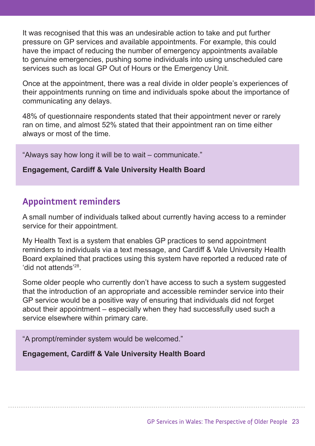It was recognised that this was an undesirable action to take and put further pressure on GP services and available appointments. For example, this could have the impact of reducing the number of emergency appointments available to genuine emergencies, pushing some individuals into using unscheduled care services such as local GP Out of Hours or the Emergency Unit.

Once at the appointment, there was a real divide in older people's experiences of their appointments running on time and individuals spoke about the importance of communicating any delays.

48% of questionnaire respondents stated that their appointment never or rarely ran on time, and almost 52% stated that their appointment ran on time either always or most of the time.

"Always say how long it will be to wait – communicate."

**Engagement, Cardiff & Vale University Health Board**

## **Appointment reminders**

A small number of individuals talked about currently having access to a reminder service for their appointment.

My Health Text is a system that enables GP practices to send appointment reminders to individuals via a text message, and Cardiff & Vale University Health Board explained that practices using this system have reported a reduced rate of 'did not attends'28.

Some older people who currently don't have access to such a system suggested that the introduction of an appropriate and accessible reminder service into their GP service would be a positive way of ensuring that individuals did not forget about their appointment – especially when they had successfully used such a service elsewhere within primary care.

.........................................................................................................................................

"A prompt/reminder system would be welcomed."

**Engagement, Cardiff & Vale University Health Board**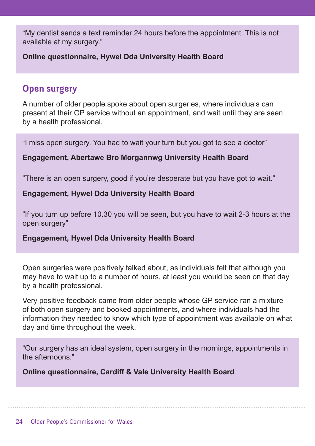"My dentist sends a text reminder 24 hours before the appointment. This is not available at my surgery."

#### **Online questionnaire, Hywel Dda University Health Board**

### **Open surgery**

A number of older people spoke about open surgeries, where individuals can present at their GP service without an appointment, and wait until they are seen by a health professional.

"I miss open surgery. You had to wait your turn but you got to see a doctor"

#### **Engagement, Abertawe Bro Morgannwg University Health Board**

"There is an open surgery, good if you're desperate but you have got to wait."

#### **Engagement, Hywel Dda University Health Board**

"If you turn up before 10.30 you will be seen, but you have to wait 2-3 hours at the open surgery"

#### **Engagement, Hywel Dda University Health Board**

Open surgeries were positively talked about, as individuals felt that although you may have to wait up to a number of hours, at least you would be seen on that day by a health professional.

Very positive feedback came from older people whose GP service ran a mixture of both open surgery and booked appointments, and where individuals had the information they needed to know which type of appointment was available on what day and time throughout the week.

"Our surgery has an ideal system, open surgery in the mornings, appointments in the afternoons."

.........................................................................................................................................

**Online questionnaire, Cardiff & Vale University Health Board**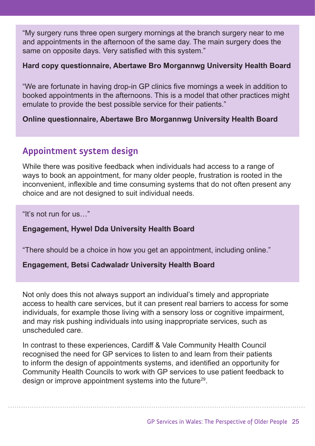"My surgery runs three open surgery mornings at the branch surgery near to me and appointments in the afternoon of the same day. The main surgery does the same on opposite days. Very satisfied with this system."

#### **Hard copy questionnaire, Abertawe Bro Morgannwg University Health Board**

"We are fortunate in having drop-in GP clinics five mornings a week in addition to booked appointments in the afternoons. This is a model that other practices might emulate to provide the best possible service for their patients."

**Online questionnaire, Abertawe Bro Morgannwg University Health Board**

## **Appointment system design**

While there was positive feedback when individuals had access to a range of ways to book an appointment, for many older people, frustration is rooted in the inconvenient, inflexible and time consuming systems that do not often present any choice and are not designed to suit individual needs.

"It's not run for us…"

#### **Engagement, Hywel Dda University Health Board**

"There should be a choice in how you get an appointment, including online."

#### **Engagement, Betsi Cadwaladr University Health Board**

Not only does this not always support an individual's timely and appropriate access to health care services, but it can present real barriers to access for some individuals, for example those living with a sensory loss or cognitive impairment, and may risk pushing individuals into using inappropriate services, such as unscheduled care.

In contrast to these experiences, Cardiff & Vale Community Health Council recognised the need for GP services to listen to and learn from their patients to inform the design of appointments systems, and identified an opportunity for Community Health Councils to work with GP services to use patient feedback to design or improve appointment systems into the future29.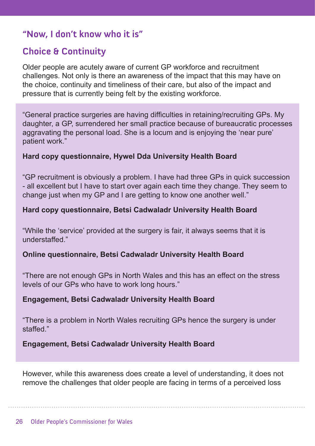## **"Now, I don't know who it is"**

## **Choice & Continuity**

Older people are acutely aware of current GP workforce and recruitment challenges. Not only is there an awareness of the impact that this may have on the choice, continuity and timeliness of their care, but also of the impact and pressure that is currently being felt by the existing workforce.

"General practice surgeries are having difficulties in retaining/recruiting GPs. My daughter, a GP, surrendered her small practice because of bureaucratic processes aggravating the personal load. She is a locum and is enjoying the 'near pure' patient work."

#### **Hard copy questionnaire, Hywel Dda University Health Board**

"GP recruitment is obviously a problem. I have had three GPs in quick succession - all excellent but I have to start over again each time they change. They seem to change just when my GP and I are getting to know one another well."

#### **Hard copy questionnaire, Betsi Cadwaladr University Health Board**

"While the 'service' provided at the surgery is fair, it always seems that it is understaffed."

#### **Online questionnaire, Betsi Cadwaladr University Health Board**

"There are not enough GPs in North Wales and this has an effect on the stress levels of our GPs who have to work long hours."

#### **Engagement, Betsi Cadwaladr University Health Board**

"There is a problem in North Wales recruiting GPs hence the surgery is under staffed."

#### **Engagement, Betsi Cadwaladr University Health Board**

However, while this awareness does create a level of understanding, it does not remove the challenges that older people are facing in terms of a perceived loss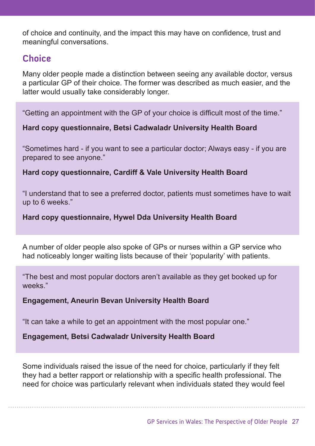of choice and continuity, and the impact this may have on confidence, trust and meaningful conversations.

### **Choice**

Many older people made a distinction between seeing any available doctor, versus a particular GP of their choice. The former was described as much easier, and the latter would usually take considerably longer.

"Getting an appointment with the GP of your choice is difficult most of the time."

#### **Hard copy questionnaire, Betsi Cadwaladr University Health Board**

"Sometimes hard - if you want to see a particular doctor; Always easy - if you are prepared to see anyone."

#### **Hard copy questionnaire, Cardiff & Vale University Health Board**

"I understand that to see a preferred doctor, patients must sometimes have to wait up to 6 weeks."

#### **Hard copy questionnaire, Hywel Dda University Health Board**

A number of older people also spoke of GPs or nurses within a GP service who had noticeably longer waiting lists because of their 'popularity' with patients.

"The best and most popular doctors aren't available as they get booked up for weeks."

#### **Engagement, Aneurin Bevan University Health Board**

"It can take a while to get an appointment with the most popular one."

#### **Engagement, Betsi Cadwaladr University Health Board**

Some individuals raised the issue of the need for choice, particularly if they felt they had a better rapport or relationship with a specific health professional. The need for choice was particularly relevant when individuals stated they would feel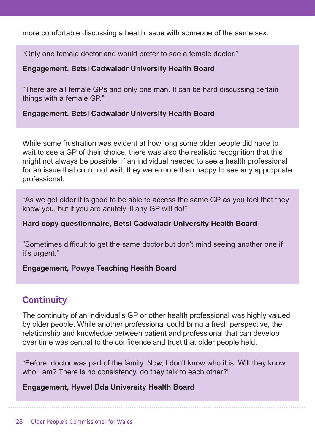more comfortable discussing a health issue with someone of the same sex.

"Only one female doctor and would prefer to see a female doctor."

#### **Engagement, Betsi Cadwaladr University Health Board**

"There are all female GPs and only one man. It can be hard discussing certain things with a female GP."

#### **Engagement, Betsi Cadwaladr University Health Board**

While some frustration was evident at how long some older people did have to wait to see a GP of their choice, there was also the realistic recognition that this might not always be possible: if an individual needed to see a health professional for an issue that could not wait, they were more than happy to see any appropriate professional.

"As we get older it is good to be able to access the same GP as you feel that they know you, but if you are acutely ill any GP will do!"

#### **Hard copy questionnaire, Betsi Cadwaladr University Health Board**

"Sometimes difficult to get the same doctor but don't mind seeing another one if it's urgent."

#### **Engagement, Powys Teaching Health Board**

## **Continuity**

The continuity of an individual's GP or other health professional was highly valued by older people. While another professional could bring a fresh perspective, the relationship and knowledge between patient and professional that can develop over time was central to the confidence and trust that older people held.

"Before, doctor was part of the family. Now, I don't know who it is. Will they know who I am? There is no consistency, do they talk to each other?"

.........................................................................................................................................

#### **Engagement, Hywel Dda University Health Board**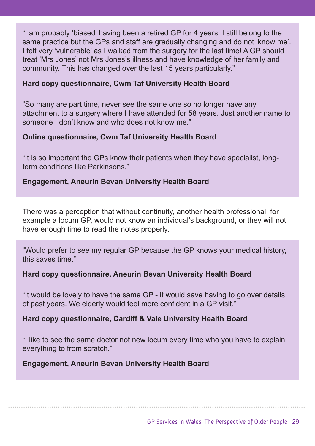"I am probably 'biased' having been a retired GP for 4 years. I still belong to the same practice but the GPs and staff are gradually changing and do not 'know me'. I felt very 'vulnerable' as I walked from the surgery for the last time! A GP should treat 'Mrs Jones' not Mrs Jones's illness and have knowledge of her family and community. This has changed over the last 15 years particularly."

#### **Hard copy questionnaire, Cwm Taf University Health Board**

"So many are part time, never see the same one so no longer have any attachment to a surgery where I have attended for 58 years. Just another name to someone I don't know and who does not know me."

#### **Online questionnaire, Cwm Taf University Health Board**

"It is so important the GPs know their patients when they have specialist, longterm conditions like Parkinsons."

#### **Engagement, Aneurin Bevan University Health Board**

There was a perception that without continuity, another health professional, for example a locum GP, would not know an individual's background, or they will not have enough time to read the notes properly.

"Would prefer to see my regular GP because the GP knows your medical history, this saves time."

#### **Hard copy questionnaire, Aneurin Bevan University Health Board**

"It would be lovely to have the same GP - it would save having to go over details of past years. We elderly would feel more confident in a GP visit."

#### **Hard copy questionnaire, Cardiff & Vale University Health Board**

"I like to see the same doctor not new locum every time who you have to explain everything to from scratch."

#### **Engagement, Aneurin Bevan University Health Board**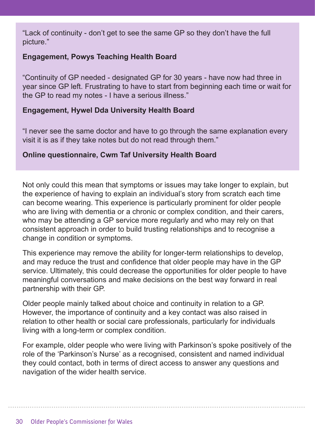"Lack of continuity - don't get to see the same GP so they don't have the full picture."

#### **Engagement, Powys Teaching Health Board**

"Continuity of GP needed - designated GP for 30 years - have now had three in year since GP left. Frustrating to have to start from beginning each time or wait for the GP to read my notes - I have a serious illness."

#### **Engagement, Hywel Dda University Health Board**

"I never see the same doctor and have to go through the same explanation every visit it is as if they take notes but do not read through them."

#### **Online questionnaire, Cwm Taf University Health Board**

Not only could this mean that symptoms or issues may take longer to explain, but the experience of having to explain an individual's story from scratch each time can become wearing. This experience is particularly prominent for older people who are living with dementia or a chronic or complex condition, and their carers, who may be attending a GP service more regularly and who may rely on that consistent approach in order to build trusting relationships and to recognise a change in condition or symptoms.

This experience may remove the ability for longer-term relationships to develop, and may reduce the trust and confidence that older people may have in the GP service. Ultimately, this could decrease the opportunities for older people to have meaningful conversations and make decisions on the best way forward in real partnership with their GP.

Older people mainly talked about choice and continuity in relation to a GP. However, the importance of continuity and a key contact was also raised in relation to other health or social care professionals, particularly for individuals living with a long-term or complex condition.

For example, older people who were living with Parkinson's spoke positively of the role of the 'Parkinson's Nurse' as a recognised, consistent and named individual they could contact, both in terms of direct access to answer any questions and navigation of the wider health service.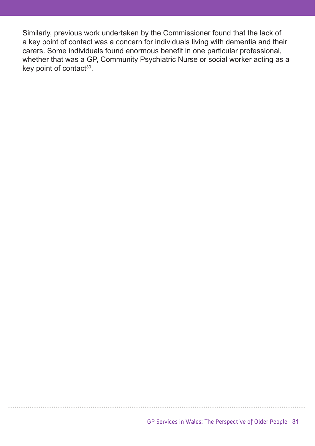Similarly, previous work undertaken by the Commissioner found that the lack of a key point of contact was a concern for individuals living with dementia and their carers. Some individuals found enormous benefit in one particular professional, whether that was a GP, Community Psychiatric Nurse or social worker acting as a key point of contact<sup>30</sup>.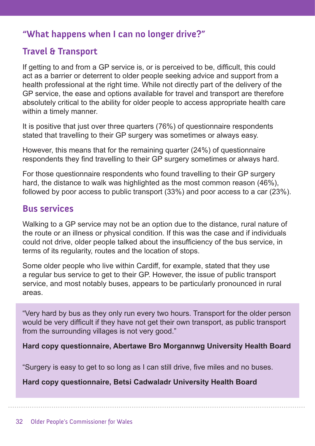## **"What happens when I can no longer drive?"**

## **Travel & Transport**

If getting to and from a GP service is, or is perceived to be, difficult, this could act as a barrier or deterrent to older people seeking advice and support from a health professional at the right time. While not directly part of the delivery of the GP service, the ease and options available for travel and transport are therefore absolutely critical to the ability for older people to access appropriate health care within a timely manner.

It is positive that just over three quarters (76%) of questionnaire respondents stated that travelling to their GP surgery was sometimes or always easy.

However, this means that for the remaining quarter (24%) of questionnaire respondents they find travelling to their GP surgery sometimes or always hard.

For those questionnaire respondents who found travelling to their GP surgery hard, the distance to walk was highlighted as the most common reason (46%), followed by poor access to public transport (33%) and poor access to a car (23%).

### **Bus services**

Walking to a GP service may not be an option due to the distance, rural nature of the route or an illness or physical condition. If this was the case and if individuals could not drive, older people talked about the insufficiency of the bus service, in terms of its regularity, routes and the location of stops.

Some older people who live within Cardiff, for example, stated that they use a regular bus service to get to their GP. However, the issue of public transport service, and most notably buses, appears to be particularly pronounced in rural areas.

"Very hard by bus as they only run every two hours. Transport for the older person would be very difficult if they have not get their own transport, as public transport from the surrounding villages is not very good."

**Hard copy questionnaire, Abertawe Bro Morgannwg University Health Board**

.........................................................................................................................................

"Surgery is easy to get to so long as I can still drive, five miles and no buses.

#### **Hard copy questionnaire, Betsi Cadwaladr University Health Board**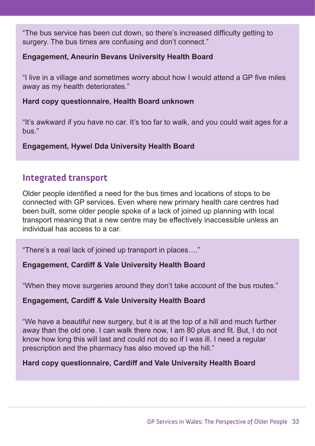"The bus service has been cut down, so there's increased difficulty getting to surgery. The bus times are confusing and don't connect."

#### **Engagement, Aneurin Bevans University Health Board**

"I live in a village and sometimes worry about how I would attend a GP five miles away as my health deteriorates."

#### **Hard copy questionnaire, Health Board unknown**

"It's awkward if you have no car. It's too far to walk, and you could wait ages for a bus."

**Engagement, Hywel Dda University Health Board**

### **Integrated transport**

Older people identified a need for the bus times and locations of stops to be connected with GP services. Even where new primary health care centres had been built, some older people spoke of a lack of joined up planning with local transport meaning that a new centre may be effectively inaccessible unless an individual has access to a car.

"There's a real lack of joined up transport in places…."

#### **Engagement, Cardiff & Vale University Health Board**

"When they move surgeries around they don't take account of the bus routes."

#### **Engagement, Cardiff & Vale University Health Board**

"We have a beautiful new surgery, but it is at the top of a hill and much further away than the old one. I can walk there now, I am 80 plus and fit. But, I do not know how long this will last and could not do so if I was ill. I need a regular prescription and the pharmacy has also moved up the hill."

.........................................................................................................................................

#### **Hard copy questionnaire, Cardiff and Vale University Health Board**

GP Services in Wales: The Perspective of Older People 33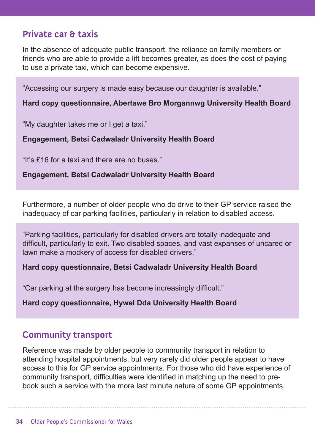## **Private car & taxis**

In the absence of adequate public transport, the reliance on family members or friends who are able to provide a lift becomes greater, as does the cost of paying to use a private taxi, which can become expensive.

"Accessing our surgery is made easy because our daughter is available."

**Hard copy questionnaire, Abertawe Bro Morgannwg University Health Board**

"My daughter takes me or I get a taxi."

#### **Engagement, Betsi Cadwaladr University Health Board**

"It's £16 for a taxi and there are no buses."

**Engagement, Betsi Cadwaladr University Health Board** 

Furthermore, a number of older people who do drive to their GP service raised the inadequacy of car parking facilities, particularly in relation to disabled access.

"Parking facilities, particularly for disabled drivers are totally inadequate and difficult, particularly to exit. Two disabled spaces, and vast expanses of uncared or lawn make a mockery of access for disabled drivers."

#### **Hard copy questionnaire, Betsi Cadwaladr University Health Board**

"Car parking at the surgery has become increasingly difficult."

#### **Hard copy questionnaire, Hywel Dda University Health Board**

## **Community transport**

Reference was made by older people to community transport in relation to attending hospital appointments, but very rarely did older people appear to have access to this for GP service appointments. For those who did have experience of community transport, difficulties were identified in matching up the need to prebook such a service with the more last minute nature of some GP appointments.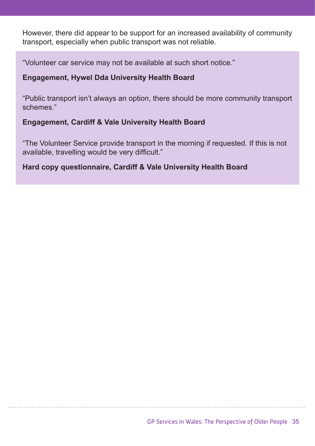However, there did appear to be support for an increased availability of community transport, especially when public transport was not reliable.

"Volunteer car service may not be available at such short notice."

#### **Engagement, Hywel Dda University Health Board**

"Public transport isn't always an option, there should be more community transport schemes."

#### **Engagement, Cardiff & Vale University Health Board**

"The Volunteer Service provide transport in the morning if requested. If this is not available, travelling would be very difficult."

.........................................................................................................................................

#### **Hard copy questionnaire, Cardiff & Vale University Health Board**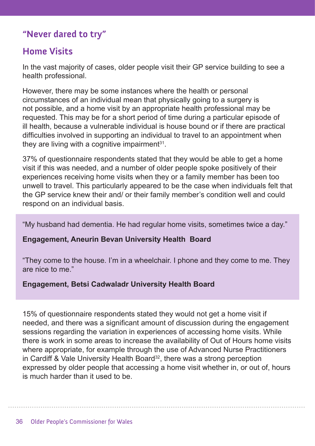## **"Never dared to try"**

## **Home Visits**

In the vast majority of cases, older people visit their GP service building to see a health professional.

However, there may be some instances where the health or personal circumstances of an individual mean that physically going to a surgery is not possible, and a home visit by an appropriate health professional may be requested. This may be for a short period of time during a particular episode of ill health, because a vulnerable individual is house bound or if there are practical difficulties involved in supporting an individual to travel to an appointment when they are living with a cognitive impairment $31$ .

37% of questionnaire respondents stated that they would be able to get a home visit if this was needed, and a number of older people spoke positively of their experiences receiving home visits when they or a family member has been too unwell to travel. This particularly appeared to be the case when individuals felt that the GP service knew their and/ or their family member's condition well and could respond on an individual basis.

"My husband had dementia. He had regular home visits, sometimes twice a day."

#### **Engagement, Aneurin Bevan University Health Board**

"They come to the house. I'm in a wheelchair. I phone and they come to me. They are nice to me."

#### **Engagement, Betsi Cadwaladr University Health Board**

15% of questionnaire respondents stated they would not get a home visit if needed, and there was a significant amount of discussion during the engagement sessions regarding the variation in experiences of accessing home visits. While there is work in some areas to increase the availability of Out of Hours home visits where appropriate, for example through the use of Advanced Nurse Practitioners in Cardiff & Vale University Health Board<sup>32</sup>, there was a strong perception expressed by older people that accessing a home visit whether in, or out of, hours is much harder than it used to be.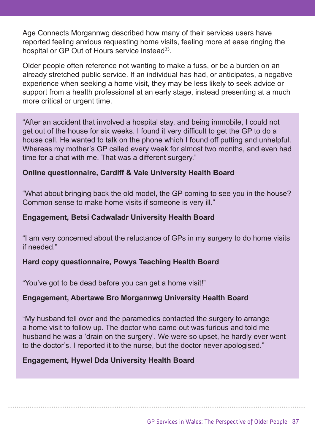Age Connects Morgannwg described how many of their services users have reported feeling anxious requesting home visits, feeling more at ease ringing the hospital or GP Out of Hours service instead<sup>33</sup>.

Older people often reference not wanting to make a fuss, or be a burden on an already stretched public service. If an individual has had, or anticipates, a negative experience when seeking a home visit, they may be less likely to seek advice or support from a health professional at an early stage, instead presenting at a much more critical or urgent time.

"After an accident that involved a hospital stay, and being immobile, I could not get out of the house for six weeks. I found it very difficult to get the GP to do a house call. He wanted to talk on the phone which I found off putting and unhelpful. Whereas my mother's GP called every week for almost two months, and even had time for a chat with me. That was a different surgery."

### **Online questionnaire, Cardiff & Vale University Health Board**

"What about bringing back the old model, the GP coming to see you in the house? Common sense to make home visits if someone is very ill."

### **Engagement, Betsi Cadwaladr University Health Board**

"I am very concerned about the reluctance of GPs in my surgery to do home visits if needed."

### **Hard copy questionnaire, Powys Teaching Health Board**

"You've got to be dead before you can get a home visit!"

### **Engagement, Abertawe Bro Morgannwg University Health Board**

"My husband fell over and the paramedics contacted the surgery to arrange a home visit to follow up. The doctor who came out was furious and told me husband he was a 'drain on the surgery'. We were so upset, he hardly ever went to the doctor's. I reported it to the nurse, but the doctor never apologised."

.........................................................................................................................................

### **Engagement, Hywel Dda University Health Board**

GP Services in Wales: The Perspective of Older People 37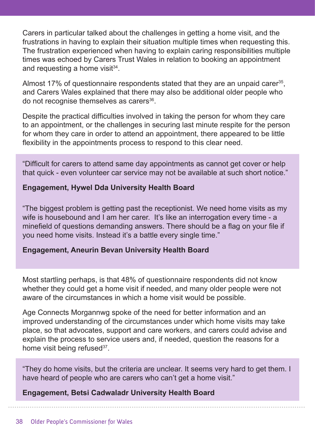Carers in particular talked about the challenges in getting a home visit, and the frustrations in having to explain their situation multiple times when requesting this. The frustration experienced when having to explain caring responsibilities multiple times was echoed by Carers Trust Wales in relation to booking an appointment and requesting a home visit $34$ .

Almost 17% of questionnaire respondents stated that they are an unpaid carer<sup>35</sup>, and Carers Wales explained that there may also be additional older people who do not recognise themselves as carers<sup>36</sup>.

Despite the practical difficulties involved in taking the person for whom they care to an appointment, or the challenges in securing last minute respite for the person for whom they care in order to attend an appointment, there appeared to be little flexibility in the appointments process to respond to this clear need.

"Difficult for carers to attend same day appointments as cannot get cover or help that quick - even volunteer car service may not be available at such short notice."

### **Engagement, Hywel Dda University Health Board**

"The biggest problem is getting past the receptionist. We need home visits as my wife is housebound and I am her carer. It's like an interrogation every time - a minefield of questions demanding answers. There should be a flag on your file if you need home visits. Instead it's a battle every single time."

### **Engagement, Aneurin Bevan University Health Board**

Most startling perhaps, is that 48% of questionnaire respondents did not know whether they could get a home visit if needed, and many older people were not aware of the circumstances in which a home visit would be possible.

Age Connects Morgannwg spoke of the need for better information and an improved understanding of the circumstances under which home visits may take place, so that advocates, support and care workers, and carers could advise and explain the process to service users and, if needed, question the reasons for a home visit being refused<sup>37</sup>.

"They do home visits, but the criteria are unclear. It seems very hard to get them. I have heard of people who are carers who can't get a home visit."

.........................................................................................................................................

#### **Engagement, Betsi Cadwaladr University Health Board**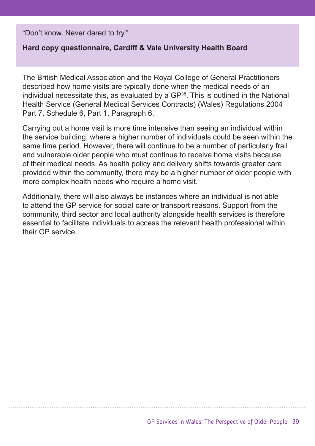"Don't know. Never dared to try."

### **Hard copy questionnaire, Cardiff & Vale University Health Board**

The British Medical Association and the Royal College of General Practitioners described how home visits are typically done when the medical needs of an individual necessitate this, as evaluated by a  $GP^{38}$ . This is outlined in the National Health Service (General Medical Services Contracts) (Wales) Regulations 2004 Part 7, Schedule 6, Part 1, Paragraph 6.

Carrying out a home visit is more time intensive than seeing an individual within the service building, where a higher number of individuals could be seen within the same time period. However, there will continue to be a number of particularly frail and vulnerable older people who must continue to receive home visits because of their medical needs. As health policy and delivery shifts towards greater care provided within the community, there may be a higher number of older people with more complex health needs who require a home visit.

Additionally, there will also always be instances where an individual is not able to attend the GP service for social care or transport reasons. Support from the community, third sector and local authority alongside health services is therefore essential to facilitate individuals to access the relevant health professional within their GP service.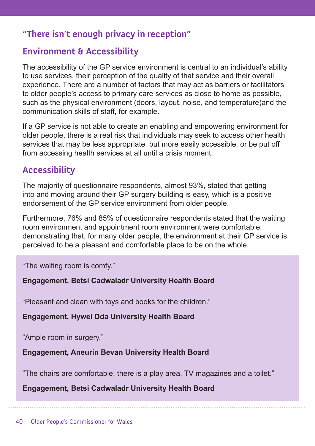# **"There isn't enough privacy in reception"**

# **Environment & Accessibility**

The accessibility of the GP service environment is central to an individual's ability to use services, their perception of the quality of that service and their overall experience. There are a number of factors that may act as barriers or facilitators to older people's access to primary care services as close to home as possible, such as the physical environment (doors, layout, noise, and temperature)and the communication skills of staff, for example.

If a GP service is not able to create an enabling and empowering environment for older people, there is a real risk that individuals may seek to access other health services that may be less appropriate but more easily accessible, or be put off from accessing health services at all until a crisis moment.

# **Accessibility**

The majority of questionnaire respondents, almost 93%, stated that getting into and moving around their GP surgery building is easy, which is a positive endorsement of the GP service environment from older people.

Furthermore, 76% and 85% of questionnaire respondents stated that the waiting room environment and appointment room environment were comfortable, demonstrating that, for many older people, the environment at their GP service is perceived to be a pleasant and comfortable place to be on the whole.

"The waiting room is comfy."

**Engagement, Betsi Cadwaladr University Health Board**

"Pleasant and clean with toys and books for the children."

**Engagement, Hywel Dda University Health Board**

"Ample room in surgery."

**Engagement, Aneurin Bevan University Health Board**

"The chairs are comfortable, there is a play area, TV magazines and a toilet."

.........................................................................................................................................

**Engagement, Betsi Cadwaladr University Health Board**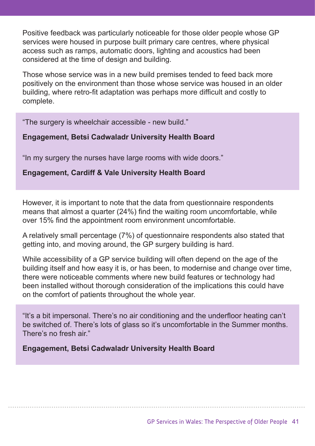Positive feedback was particularly noticeable for those older people whose GP services were housed in purpose built primary care centres, where physical access such as ramps, automatic doors, lighting and acoustics had been considered at the time of design and building.

Those whose service was in a new build premises tended to feed back more positively on the environment than those whose service was housed in an older building, where retro-fit adaptation was perhaps more difficult and costly to complete.

"The surgery is wheelchair accessible - new build."

### **Engagement, Betsi Cadwaladr University Health Board**

"In my surgery the nurses have large rooms with wide doors."

### **Engagement, Cardiff & Vale University Health Board**

However, it is important to note that the data from questionnaire respondents means that almost a quarter (24%) find the waiting room uncomfortable, while over 15% find the appointment room environment uncomfortable.

A relatively small percentage (7%) of questionnaire respondents also stated that getting into, and moving around, the GP surgery building is hard.

While accessibility of a GP service building will often depend on the age of the building itself and how easy it is, or has been, to modernise and change over time, there were noticeable comments where new build features or technology had been installed without thorough consideration of the implications this could have on the comfort of patients throughout the whole year.

"It's a bit impersonal. There's no air conditioning and the underfloor heating can't be switched of. There's lots of glass so it's uncomfortable in the Summer months. There's no fresh air."

.........................................................................................................................................

**Engagement, Betsi Cadwaladr University Health Board**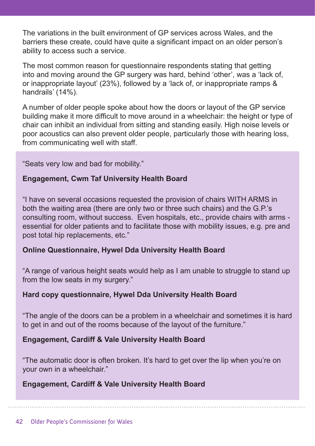The variations in the built environment of GP services across Wales, and the barriers these create, could have quite a significant impact on an older person's ability to access such a service.

The most common reason for questionnaire respondents stating that getting into and moving around the GP surgery was hard, behind 'other', was a 'lack of, or inappropriate layout' (23%), followed by a 'lack of, or inappropriate ramps & handrails' (14%).

A number of older people spoke about how the doors or layout of the GP service building make it more difficult to move around in a wheelchair: the height or type of chair can inhibit an individual from sitting and standing easily. High noise levels or poor acoustics can also prevent older people, particularly those with hearing loss, from communicating well with staff.

"Seats very low and bad for mobility."

### **Engagement, Cwm Taf University Health Board**

"I have on several occasions requested the provision of chairs WITH ARMS in both the waiting area (there are only two or three such chairs) and the G.P.'s consulting room, without success. Even hospitals, etc., provide chairs with arms essential for older patients and to facilitate those with mobility issues, e.g. pre and post total hip replacements, etc."

### **Online Questionnaire, Hywel Dda University Health Board**

"A range of various height seats would help as I am unable to struggle to stand up from the low seats in my surgery."

### **Hard copy questionnaire, Hywel Dda University Health Board**

"The angle of the doors can be a problem in a wheelchair and sometimes it is hard to get in and out of the rooms because of the layout of the furniture."

### **Engagement, Cardiff & Vale University Health Board**

"The automatic door is often broken. It's hard to get over the lip when you're on your own in a wheelchair."

.........................................................................................................................................

### **Engagement, Cardiff & Vale University Health Board**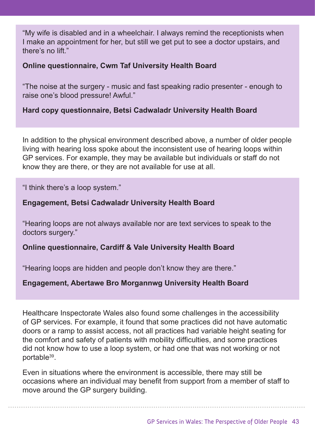"My wife is disabled and in a wheelchair. I always remind the receptionists when I make an appointment for her, but still we get put to see a doctor upstairs, and there's no lift."

### **Online questionnaire, Cwm Taf University Health Board**

"The noise at the surgery - music and fast speaking radio presenter - enough to raise one's blood pressure! Awful."

### **Hard copy questionnaire, Betsi Cadwaladr University Health Board**

In addition to the physical environment described above, a number of older people living with hearing loss spoke about the inconsistent use of hearing loops within GP services. For example, they may be available but individuals or staff do not know they are there, or they are not available for use at all.

"I think there's a loop system."

### **Engagement, Betsi Cadwaladr University Health Board**

"Hearing loops are not always available nor are text services to speak to the doctors surgery."

### **Online questionnaire, Cardiff & Vale University Health Board**

"Hearing loops are hidden and people don't know they are there."

### **Engagement, Abertawe Bro Morgannwg University Health Board**

Healthcare Inspectorate Wales also found some challenges in the accessibility of GP services. For example, it found that some practices did not have automatic doors or a ramp to assist access, not all practices had variable height seating for the comfort and safety of patients with mobility difficulties, and some practices did not know how to use a loop system, or had one that was not working or not portable39.

Even in situations where the environment is accessible, there may still be occasions where an individual may benefit from support from a member of staff to move around the GP surgery building.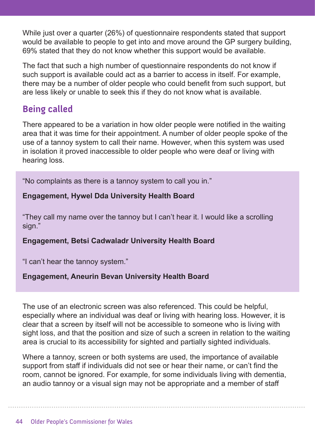While just over a quarter (26%) of questionnaire respondents stated that support would be available to people to get into and move around the GP surgery building, 69% stated that they do not know whether this support would be available.

The fact that such a high number of questionnaire respondents do not know if such support is available could act as a barrier to access in itself. For example, there may be a number of older people who could benefit from such support, but are less likely or unable to seek this if they do not know what is available.

# **Being called**

There appeared to be a variation in how older people were notified in the waiting area that it was time for their appointment. A number of older people spoke of the use of a tannoy system to call their name. However, when this system was used in isolation it proved inaccessible to older people who were deaf or living with hearing loss.

"No complaints as there is a tannoy system to call you in."

### **Engagement, Hywel Dda University Health Board**

"They call my name over the tannoy but I can't hear it. I would like a scrolling sign."

### **Engagement, Betsi Cadwaladr University Health Board**

"I can't hear the tannoy system."

### **Engagement, Aneurin Bevan University Health Board**

The use of an electronic screen was also referenced. This could be helpful, especially where an individual was deaf or living with hearing loss. However, it is clear that a screen by itself will not be accessible to someone who is living with sight loss, and that the position and size of such a screen in relation to the waiting area is crucial to its accessibility for sighted and partially sighted individuals.

Where a tannoy, screen or both systems are used, the importance of available support from staff if individuals did not see or hear their name, or can't find the room, cannot be ignored. For example, for some individuals living with dementia, an audio tannoy or a visual sign may not be appropriate and a member of staff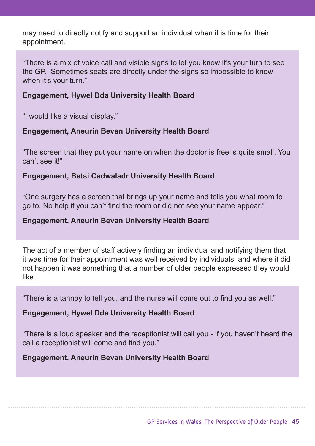may need to directly notify and support an individual when it is time for their appointment.

"There is a mix of voice call and visible signs to let you know it's your turn to see the GP. Sometimes seats are directly under the signs so impossible to know when it's your turn."

### **Engagement, Hywel Dda University Health Board**

"I would like a visual display."

### **Engagement, Aneurin Bevan University Health Board**

"The screen that they put your name on when the doctor is free is quite small. You can't see it!"

### **Engagement, Betsi Cadwaladr University Health Board**

"One surgery has a screen that brings up your name and tells you what room to go to. No help if you can't find the room or did not see your name appear."

### **Engagement, Aneurin Bevan University Health Board**

The act of a member of staff actively finding an individual and notifying them that it was time for their appointment was well received by individuals, and where it did not happen it was something that a number of older people expressed they would like.

"There is a tannoy to tell you, and the nurse will come out to find you as well."

### **Engagement, Hywel Dda University Health Board**

"There is a loud speaker and the receptionist will call you - if you haven't heard the call a receptionist will come and find you."

### **Engagement, Aneurin Bevan University Health Board**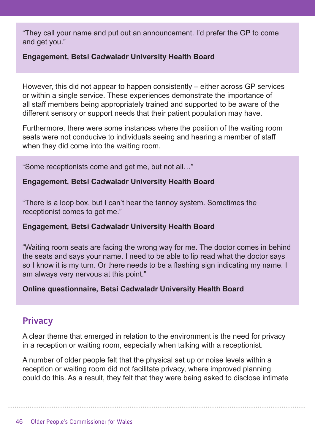"They call your name and put out an announcement. I'd prefer the GP to come and get you."

### **Engagement, Betsi Cadwaladr University Health Board**

However, this did not appear to happen consistently – either across GP services or within a single service. These experiences demonstrate the importance of all staff members being appropriately trained and supported to be aware of the different sensory or support needs that their patient population may have.

Furthermore, there were some instances where the position of the waiting room seats were not conducive to individuals seeing and hearing a member of staff when they did come into the waiting room.

"Some receptionists come and get me, but not all…"

### **Engagement, Betsi Cadwaladr University Health Board**

"There is a loop box, but I can't hear the tannoy system. Sometimes the receptionist comes to get me."

### **Engagement, Betsi Cadwaladr University Health Board**

"Waiting room seats are facing the wrong way for me. The doctor comes in behind the seats and says your name. I need to be able to lip read what the doctor says so I know it is my turn. Or there needs to be a flashing sign indicating my name. I am always very nervous at this point."

### **Online questionnaire, Betsi Cadwaladr University Health Board**

### **Privacy**

A clear theme that emerged in relation to the environment is the need for privacy in a reception or waiting room, especially when talking with a receptionist.

A number of older people felt that the physical set up or noise levels within a reception or waiting room did not facilitate privacy, where improved planning could do this. As a result, they felt that they were being asked to disclose intimate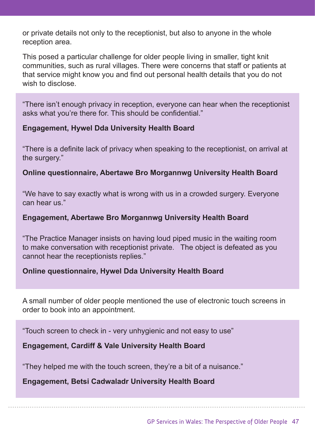or private details not only to the receptionist, but also to anyone in the whole reception area.

This posed a particular challenge for older people living in smaller, tight knit communities, such as rural villages. There were concerns that staff or patients at that service might know you and find out personal health details that you do not wish to disclose.

"There isn't enough privacy in reception, everyone can hear when the receptionist asks what you're there for. This should be confidential."

### **Engagement, Hywel Dda University Health Board**

"There is a definite lack of privacy when speaking to the receptionist, on arrival at the surgery."

### **Online questionnaire, Abertawe Bro Morgannwg University Health Board**

"We have to say exactly what is wrong with us in a crowded surgery. Everyone can hear us."

### **Engagement, Abertawe Bro Morgannwg University Health Board**

"The Practice Manager insists on having loud piped music in the waiting room to make conversation with receptionist private. The object is defeated as you cannot hear the receptionists replies."

### **Online questionnaire, Hywel Dda University Health Board**

A small number of older people mentioned the use of electronic touch screens in order to book into an appointment.

.........................................................................................................................................

"Touch screen to check in - very unhygienic and not easy to use"

### **Engagement, Cardiff & Vale University Health Board**

"They helped me with the touch screen, they're a bit of a nuisance."

### **Engagement, Betsi Cadwaladr University Health Board**

GP Services in Wales: The Perspective of Older People 47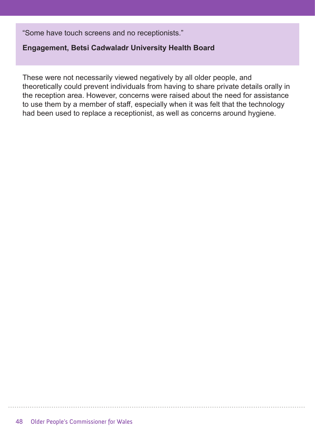"Some have touch screens and no receptionists."

### **Engagement, Betsi Cadwaladr University Health Board**

These were not necessarily viewed negatively by all older people, and theoretically could prevent individuals from having to share private details orally in the reception area. However, concerns were raised about the need for assistance to use them by a member of staff, especially when it was felt that the technology had been used to replace a receptionist, as well as concerns around hygiene.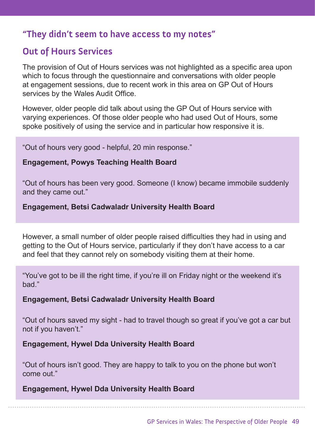# **"They didn't seem to have access to my notes"**

# **Out of Hours Services**

The provision of Out of Hours services was not highlighted as a specific area upon which to focus through the questionnaire and conversations with older people at engagement sessions, due to recent work in this area on GP Out of Hours services by the Wales Audit Office.

However, older people did talk about using the GP Out of Hours service with varying experiences. Of those older people who had used Out of Hours, some spoke positively of using the service and in particular how responsive it is.

"Out of hours very good - helpful, 20 min response."

### **Engagement, Powys Teaching Health Board**

"Out of hours has been very good. Someone (I know) became immobile suddenly and they came out."

### **Engagement, Betsi Cadwaladr University Health Board**

However, a small number of older people raised difficulties they had in using and getting to the Out of Hours service, particularly if they don't have access to a car and feel that they cannot rely on somebody visiting them at their home.

"You've got to be ill the right time, if you're ill on Friday night or the weekend it's bad."

### **Engagement, Betsi Cadwaladr University Health Board**

"Out of hours saved my sight - had to travel though so great if you've got a car but not if you haven't."

### **Engagement, Hywel Dda University Health Board**

"Out of hours isn't good. They are happy to talk to you on the phone but won't come out."

.........................................................................................................................................

### **Engagement, Hywel Dda University Health Board**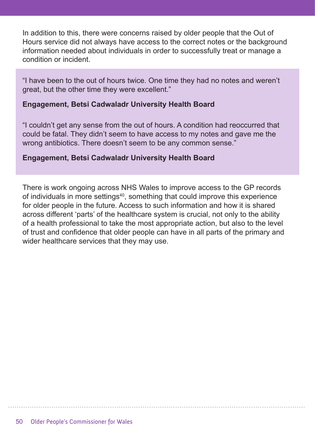In addition to this, there were concerns raised by older people that the Out of Hours service did not always have access to the correct notes or the background information needed about individuals in order to successfully treat or manage a condition or incident.

"I have been to the out of hours twice. One time they had no notes and weren't great, but the other time they were excellent."

### **Engagement, Betsi Cadwaladr University Health Board**

"I couldn't get any sense from the out of hours. A condition had reoccurred that could be fatal. They didn't seem to have access to my notes and gave me the wrong antibiotics. There doesn't seem to be any common sense."

#### **Engagement, Betsi Cadwaladr University Health Board**

There is work ongoing across NHS Wales to improve access to the GP records of individuals in more settings<sup>40</sup>, something that could improve this experience for older people in the future. Access to such information and how it is shared across different 'parts' of the healthcare system is crucial, not only to the ability of a health professional to take the most appropriate action, but also to the level of trust and confidence that older people can have in all parts of the primary and wider healthcare services that they may use.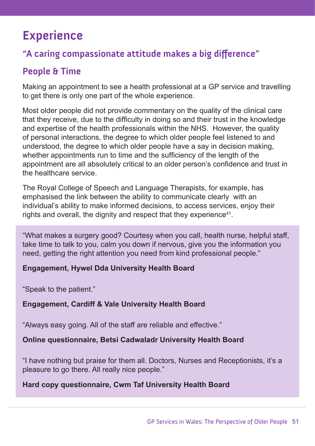# **Experience**

# **"A caring compassionate attitude makes a big difference"**

# **People & Time**

Making an appointment to see a health professional at a GP service and travelling to get there is only one part of the whole experience.

Most older people did not provide commentary on the quality of the clinical care that they receive, due to the difficulty in doing so and their trust in the knowledge and expertise of the health professionals within the NHS. However, the quality of personal interactions, the degree to which older people feel listened to and understood, the degree to which older people have a say in decision making, whether appointments run to time and the sufficiency of the length of the appointment are all absolutely critical to an older person's confidence and trust in the healthcare service.

The Royal College of Speech and Language Therapists, for example, has emphasised the link between the ability to communicate clearly with an individual's ability to make informed decisions, to access services, enjoy their rights and overall, the dignity and respect that they experience<sup>41</sup>.

"What makes a surgery good? Courtesy when you call, health nurse, helpful staff, take time to talk to you, calm you down if nervous, give you the information you need, getting the right attention you need from kind professional people."

### **Engagement, Hywel Dda University Health Board**

"Speak to the patient."

**Engagement, Cardiff & Vale University Health Board**

"Always easy going. All of the staff are reliable and effective."

**Online questionnaire, Betsi Cadwaladr University Health Board**

"I have nothing but praise for them all. Doctors, Nurses and Receptionists, it's a pleasure to go there. All really nice people."

.........................................................................................................................................

### **Hard copy questionnaire, Cwm Taf University Health Board**

GP Services in Wales: The Perspective of Older People 51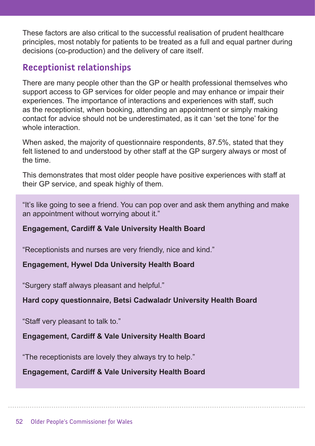These factors are also critical to the successful realisation of prudent healthcare principles, most notably for patients to be treated as a full and equal partner during decisions (co-production) and the delivery of care itself.

### **Receptionist relationships**

There are many people other than the GP or health professional themselves who support access to GP services for older people and may enhance or impair their experiences. The importance of interactions and experiences with staff, such as the receptionist, when booking, attending an appointment or simply making contact for advice should not be underestimated, as it can 'set the tone' for the whole interaction.

When asked, the majority of questionnaire respondents, 87.5%, stated that they felt listened to and understood by other staff at the GP surgery always or most of the time.

This demonstrates that most older people have positive experiences with staff at their GP service, and speak highly of them.

"It's like going to see a friend. You can pop over and ask them anything and make an appointment without worrying about it."

### **Engagement, Cardiff & Vale University Health Board**

"Receptionists and nurses are very friendly, nice and kind."

### **Engagement, Hywel Dda University Health Board**

"Surgery staff always pleasant and helpful."

### **Hard copy questionnaire, Betsi Cadwaladr University Health Board**

.........................................................................................................................................

"Staff very pleasant to talk to."

### **Engagement, Cardiff & Vale University Health Board**

"The receptionists are lovely they always try to help."

**Engagement, Cardiff & Vale University Health Board**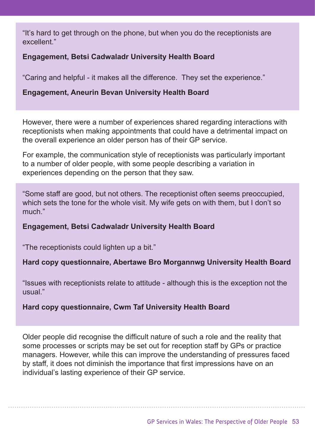"It's hard to get through on the phone, but when you do the receptionists are excellent."

### **Engagement, Betsi Cadwaladr University Health Board**

"Caring and helpful - it makes all the difference. They set the experience."

### **Engagement, Aneurin Bevan University Health Board**

However, there were a number of experiences shared regarding interactions with receptionists when making appointments that could have a detrimental impact on the overall experience an older person has of their GP service.

For example, the communication style of receptionists was particularly important to a number of older people, with some people describing a variation in experiences depending on the person that they saw.

"Some staff are good, but not others. The receptionist often seems preoccupied, which sets the tone for the whole visit. My wife gets on with them, but I don't so much."

### **Engagement, Betsi Cadwaladr University Health Board**

"The receptionists could lighten up a bit."

### **Hard copy questionnaire, Abertawe Bro Morgannwg University Health Board**

"Issues with receptionists relate to attitude - although this is the exception not the usual."

### **Hard copy questionnaire, Cwm Taf University Health Board**

Older people did recognise the difficult nature of such a role and the reality that some processes or scripts may be set out for reception staff by GPs or practice managers. However, while this can improve the understanding of pressures faced by staff, it does not diminish the importance that first impressions have on an individual's lasting experience of their GP service.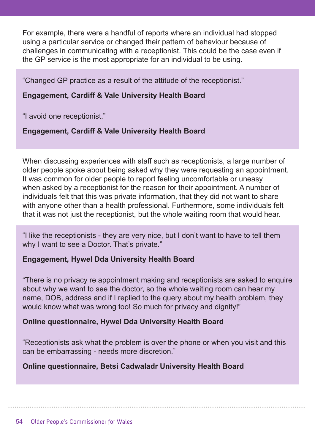For example, there were a handful of reports where an individual had stopped using a particular service or changed their pattern of behaviour because of challenges in communicating with a receptionist. This could be the case even if the GP service is the most appropriate for an individual to be using.

"Changed GP practice as a result of the attitude of the receptionist."

### **Engagement, Cardiff & Vale University Health Board**

"I avoid one receptionist."

### **Engagement, Cardiff & Vale University Health Board**

When discussing experiences with staff such as receptionists, a large number of older people spoke about being asked why they were requesting an appointment. It was common for older people to report feeling uncomfortable or uneasy when asked by a receptionist for the reason for their appointment. A number of individuals felt that this was private information, that they did not want to share with anyone other than a health professional. Furthermore, some individuals felt that it was not just the receptionist, but the whole waiting room that would hear.

"I like the receptionists - they are very nice, but I don't want to have to tell them why I want to see a Doctor. That's private."

### **Engagement, Hywel Dda University Health Board**

"There is no privacy re appointment making and receptionists are asked to enquire about why we want to see the doctor, so the whole waiting room can hear my name, DOB, address and if I replied to the query about my health problem, they would know what was wrong too! So much for privacy and dignity!"

### **Online questionnaire, Hywel Dda University Health Board**

"Receptionists ask what the problem is over the phone or when you visit and this can be embarrassing - needs more discretion."

.........................................................................................................................................

### **Online questionnaire, Betsi Cadwaladr University Health Board**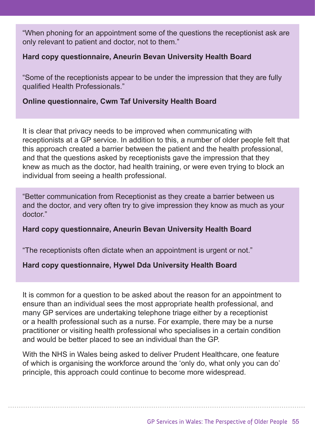"When phoning for an appointment some of the questions the receptionist ask are only relevant to patient and doctor, not to them."

### **Hard copy questionnaire, Aneurin Bevan University Health Board**

"Some of the receptionists appear to be under the impression that they are fully qualified Health Professionals."

### **Online questionnaire, Cwm Taf University Health Board**

It is clear that privacy needs to be improved when communicating with receptionists at a GP service. In addition to this, a number of older people felt that this approach created a barrier between the patient and the health professional, and that the questions asked by receptionists gave the impression that they knew as much as the doctor, had health training, or were even trying to block an individual from seeing a health professional.

"Better communication from Receptionist as they create a barrier between us and the doctor, and very often try to give impression they know as much as your doctor."

### **Hard copy questionnaire, Aneurin Bevan University Health Board**

"The receptionists often dictate when an appointment is urgent or not."

### **Hard copy questionnaire, Hywel Dda University Health Board**

It is common for a question to be asked about the reason for an appointment to ensure than an individual sees the most appropriate health professional, and many GP services are undertaking telephone triage either by a receptionist or a health professional such as a nurse. For example, there may be a nurse practitioner or visiting health professional who specialises in a certain condition and would be better placed to see an individual than the GP.

With the NHS in Wales being asked to deliver Prudent Healthcare, one feature of which is organising the workforce around the 'only do, what only you can do' principle, this approach could continue to become more widespread.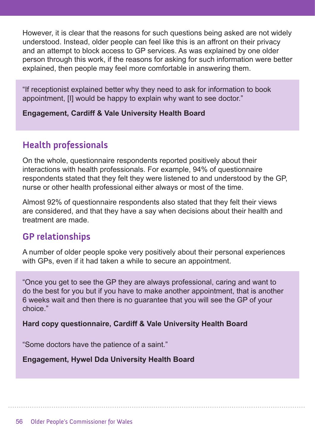However, it is clear that the reasons for such questions being asked are not widely understood. Instead, older people can feel like this is an affront on their privacy and an attempt to block access to GP services. As was explained by one older person through this work, if the reasons for asking for such information were better explained, then people may feel more comfortable in answering them.

"If receptionist explained better why they need to ask for information to book appointment, [I] would be happy to explain why want to see doctor."

### **Engagement, Cardiff & Vale University Health Board**

# **Health professionals**

On the whole, questionnaire respondents reported positively about their interactions with health professionals. For example, 94% of questionnaire respondents stated that they felt they were listened to and understood by the GP, nurse or other health professional either always or most of the time.

Almost 92% of questionnaire respondents also stated that they felt their views are considered, and that they have a say when decisions about their health and treatment are made.

# **GP relationships**

A number of older people spoke very positively about their personal experiences with GPs, even if it had taken a while to secure an appointment.

"Once you get to see the GP they are always professional, caring and want to do the best for you but if you have to make another appointment, that is another 6 weeks wait and then there is no guarantee that you will see the GP of your choice."

.........................................................................................................................................

**Hard copy questionnaire, Cardiff & Vale University Health Board**

"Some doctors have the patience of a saint."

**Engagement, Hywel Dda University Health Board**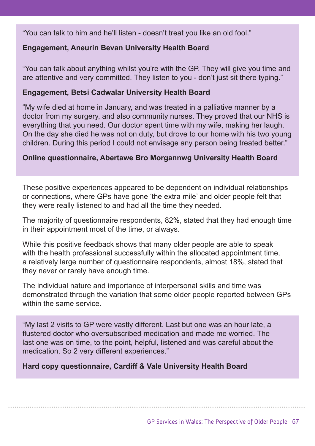"You can talk to him and he'll listen - doesn't treat you like an old fool."

### **Engagement, Aneurin Bevan University Health Board**

"You can talk about anything whilst you're with the GP. They will give you time and are attentive and very committed. They listen to you - don't just sit there typing."

#### **Engagement, Betsi Cadwalar University Health Board**

"My wife died at home in January, and was treated in a palliative manner by a doctor from my surgery, and also community nurses. They proved that our NHS is everything that you need. Our doctor spent time with my wife, making her laugh. On the day she died he was not on duty, but drove to our home with his two young children. During this period I could not envisage any person being treated better."

### **Online questionnaire, Abertawe Bro Morgannwg University Health Board**

These positive experiences appeared to be dependent on individual relationships or connections, where GPs have gone 'the extra mile' and older people felt that they were really listened to and had all the time they needed.

The majority of questionnaire respondents, 82%, stated that they had enough time in their appointment most of the time, or always.

While this positive feedback shows that many older people are able to speak with the health professional successfully within the allocated appointment time, a relatively large number of questionnaire respondents, almost 18%, stated that they never or rarely have enough time.

The individual nature and importance of interpersonal skills and time was demonstrated through the variation that some older people reported between GPs within the same service.

"My last 2 visits to GP were vastly different. Last but one was an hour late, a flustered doctor who oversubscribed medication and made me worried. The last one was on time, to the point, helpful, listened and was careful about the medication. So 2 very different experiences."

.........................................................................................................................................

### **Hard copy questionnaire, Cardiff & Vale University Health Board**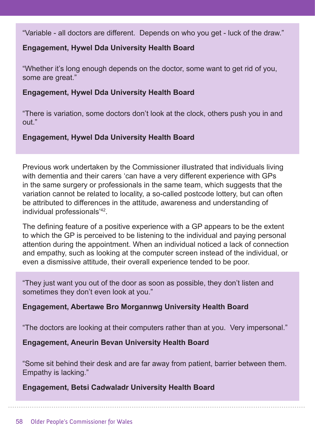"Variable - all doctors are different. Depends on who you get - luck of the draw."

### **Engagement, Hywel Dda University Health Board**

"Whether it's long enough depends on the doctor, some want to get rid of you, some are great."

### **Engagement, Hywel Dda University Health Board**

"There is variation, some doctors don't look at the clock, others push you in and out."

### **Engagement, Hywel Dda University Health Board**

Previous work undertaken by the Commissioner illustrated that individuals living with dementia and their carers 'can have a very different experience with GPs in the same surgery or professionals in the same team, which suggests that the variation cannot be related to locality, a so-called postcode lottery, but can often be attributed to differences in the attitude, awareness and understanding of individual professionals'42.

The defining feature of a positive experience with a GP appears to be the extent to which the GP is perceived to be listening to the individual and paying personal attention during the appointment. When an individual noticed a lack of connection and empathy, such as looking at the computer screen instead of the individual, or even a dismissive attitude, their overall experience tended to be poor.

"They just want you out of the door as soon as possible, they don't listen and sometimes they don't even look at you."

### **Engagement, Abertawe Bro Morgannwg University Health Board**

"The doctors are looking at their computers rather than at you. Very impersonal."

### **Engagement, Aneurin Bevan University Health Board**

"Some sit behind their desk and are far away from patient, barrier between them. Empathy is lacking."

.........................................................................................................................................

### **Engagement, Betsi Cadwaladr University Health Board**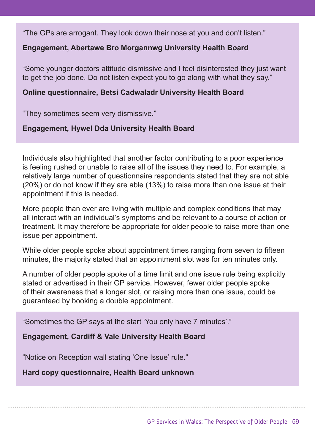"The GPs are arrogant. They look down their nose at you and don't listen."

### **Engagement, Abertawe Bro Morgannwg University Health Board**

"Some younger doctors attitude dismissive and I feel disinterested they just want to get the job done. Do not listen expect you to go along with what they say."

### **Online questionnaire, Betsi Cadwaladr University Health Board**

"They sometimes seem very dismissive."

### **Engagement, Hywel Dda University Health Board**

Individuals also highlighted that another factor contributing to a poor experience is feeling rushed or unable to raise all of the issues they need to. For example, a relatively large number of questionnaire respondents stated that they are not able (20%) or do not know if they are able (13%) to raise more than one issue at their appointment if this is needed.

More people than ever are living with multiple and complex conditions that may all interact with an individual's symptoms and be relevant to a course of action or treatment. It may therefore be appropriate for older people to raise more than one issue per appointment.

While older people spoke about appointment times ranging from seven to fifteen minutes, the majority stated that an appointment slot was for ten minutes only.

A number of older people spoke of a time limit and one issue rule being explicitly stated or advertised in their GP service. However, fewer older people spoke of their awareness that a longer slot, or raising more than one issue, could be guaranteed by booking a double appointment.

.........................................................................................................................................

"Sometimes the GP says at the start 'You only have 7 minutes'."

**Engagement, Cardiff & Vale University Health Board**

"Notice on Reception wall stating 'One Issue' rule."

**Hard copy questionnaire, Health Board unknown**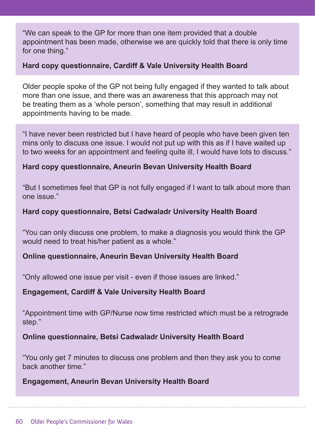"We can speak to the GP for more than one item provided that a double appointment has been made, otherwise we are quickly told that there is only time for one thing."

### **Hard copy questionnaire, Cardiff & Vale University Health Board**

Older people spoke of the GP not being fully engaged if they wanted to talk about more than one issue, and there was an awareness that this approach may not be treating them as a 'whole person', something that may result in additional appointments having to be made.

"I have never been restricted but I have heard of people who have been given ten mins only to discuss one issue. I would not put up with this as if I have waited up to two weeks for an appointment and feeling quite ill, I would have lots to discuss."

### **Hard copy questionnaire, Aneurin Bevan University Health Board**

"But I sometimes feel that GP is not fully engaged if I want to talk about more than one issue."

### **Hard copy questionnaire, Betsi Cadwaladr University Health Board**

"You can only discuss one problem, to make a diagnosis you would think the GP would need to treat his/her patient as a whole."

### **Online questionnaire, Aneurin Bevan University Health Board**

"Only allowed one issue per visit - even if those issues are linked."

### **Engagement, Cardiff & Vale University Health Board**

"Appointment time with GP/Nurse now time restricted which must be a retrograde step."

### **Online questionnaire, Betsi Cadwaladr University Health Board**

"You only get 7 minutes to discuss one problem and then they ask you to come back another time."

.........................................................................................................................................

### **Engagement, Aneurin Bevan University Health Board**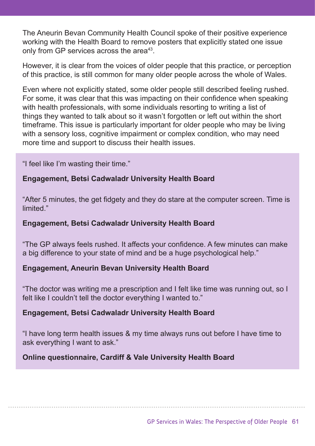The Aneurin Bevan Community Health Council spoke of their positive experience working with the Health Board to remove posters that explicitly stated one issue only from GP services across the area<sup>43</sup>.

However, it is clear from the voices of older people that this practice, or perception of this practice, is still common for many older people across the whole of Wales.

Even where not explicitly stated, some older people still described feeling rushed. For some, it was clear that this was impacting on their confidence when speaking with health professionals, with some individuals resorting to writing a list of things they wanted to talk about so it wasn't forgotten or left out within the short timeframe. This issue is particularly important for older people who may be living with a sensory loss, cognitive impairment or complex condition, who may need more time and support to discuss their health issues.

"I feel like I'm wasting their time."

### **Engagement, Betsi Cadwaladr University Health Board**

"After 5 minutes, the get fidgety and they do stare at the computer screen. Time is limited."

### **Engagement, Betsi Cadwaladr University Health Board**

"The GP always feels rushed. It affects your confidence. A few minutes can make a big difference to your state of mind and be a huge psychological help."

### **Engagement, Aneurin Bevan University Health Board**

"The doctor was writing me a prescription and I felt like time was running out, so I felt like I couldn't tell the doctor everything I wanted to."

### **Engagement, Betsi Cadwaladr University Health Board**

"I have long term health issues & my time always runs out before I have time to ask everything I want to ask."

### **Online questionnaire, Cardiff & Vale University Health Board**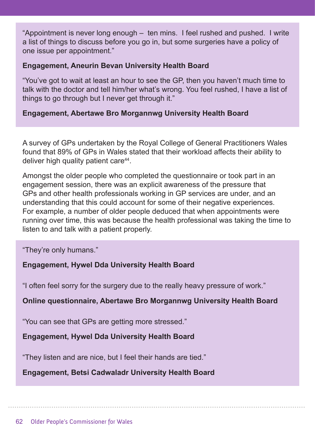"Appointment is never long enough – ten mins. I feel rushed and pushed. I write a list of things to discuss before you go in, but some surgeries have a policy of one issue per appointment."

### **Engagement, Aneurin Bevan University Health Board**

"You've got to wait at least an hour to see the GP, then you haven't much time to talk with the doctor and tell him/her what's wrong. You feel rushed, I have a list of things to go through but I never get through it."

### **Engagement, Abertawe Bro Morgannwg University Health Board**

A survey of GPs undertaken by the Royal College of General Practitioners Wales found that 89% of GPs in Wales stated that their workload affects their ability to deliver high quality patient care<sup>44</sup>.

Amongst the older people who completed the questionnaire or took part in an engagement session, there was an explicit awareness of the pressure that GPs and other health professionals working in GP services are under, and an understanding that this could account for some of their negative experiences. For example, a number of older people deduced that when appointments were running over time, this was because the health professional was taking the time to listen to and talk with a patient properly.

"They're only humans."

### **Engagement, Hywel Dda University Health Board**

"I often feel sorry for the surgery due to the really heavy pressure of work."

**Online questionnaire, Abertawe Bro Morgannwg University Health Board**

.........................................................................................................................................

"You can see that GPs are getting more stressed."

**Engagement, Hywel Dda University Health Board**

"They listen and are nice, but I feel their hands are tied."

**Engagement, Betsi Cadwaladr University Health Board**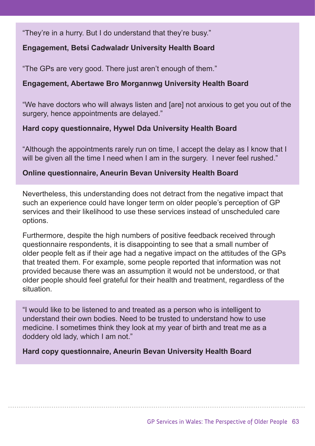"They're in a hurry. But I do understand that they're busy."

### **Engagement, Betsi Cadwaladr University Health Board**

"The GPs are very good. There just aren't enough of them."

### **Engagement, Abertawe Bro Morgannwg University Health Board**

"We have doctors who will always listen and [are] not anxious to get you out of the surgery, hence appointments are delayed."

### **Hard copy questionnaire, Hywel Dda University Health Board**

"Although the appointments rarely run on time, I accept the delay as I know that I will be given all the time I need when I am in the surgery. I never feel rushed."

### **Online questionnaire, Aneurin Bevan University Health Board**

Nevertheless, this understanding does not detract from the negative impact that such an experience could have longer term on older people's perception of GP services and their likelihood to use these services instead of unscheduled care options.

Furthermore, despite the high numbers of positive feedback received through questionnaire respondents, it is disappointing to see that a small number of older people felt as if their age had a negative impact on the attitudes of the GPs that treated them. For example, some people reported that information was not provided because there was an assumption it would not be understood, or that older people should feel grateful for their health and treatment, regardless of the situation.

"I would like to be listened to and treated as a person who is intelligent to understand their own bodies. Need to be trusted to understand how to use medicine. I sometimes think they look at my year of birth and treat me as a doddery old lady, which I am not."

.........................................................................................................................................

**Hard copy questionnaire, Aneurin Bevan University Health Board**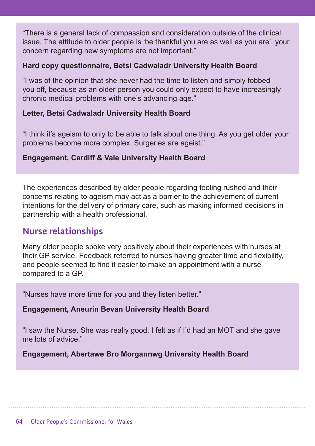"There is a general lack of compassion and consideration outside of the clinical issue. The attitude to older people is 'be thankful you are as well as you are', your concern regarding new symptoms are not important."

### **Hard copy questionnaire, Betsi Cadwaladr University Health Board**

"I was of the opinion that she never had the time to listen and simply fobbed you off, because as an older person you could only expect to have increasingly chronic medical problems with one's advancing age."

### **Letter, Betsi Cadwaladr University Health Board**

"I think it's ageism to only to be able to talk about one thing. As you get older your problems become more complex. Surgeries are ageist."

### **Engagement, Cardiff & Vale University Health Board**

The experiences described by older people regarding feeling rushed and their concerns relating to ageism may act as a barrier to the achievement of current intentions for the delivery of primary care, such as making informed decisions in partnership with a health professional.

### **Nurse relationships**

Many older people spoke very positively about their experiences with nurses at their GP service. Feedback referred to nurses having greater time and flexibility, and people seemed to find it easier to make an appointment with a nurse compared to a GP.

"Nurses have more time for you and they listen better."

### **Engagement, Aneurin Bevan University Health Board**

"I saw the Nurse. She was really good. I felt as if I'd had an MOT and she gave me lots of advice."

.........................................................................................................................................

**Engagement, Abertawe Bro Morgannwg University Health Board**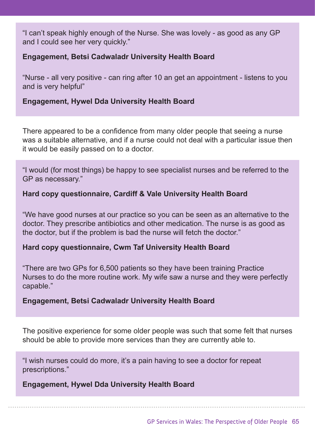"I can't speak highly enough of the Nurse. She was lovely - as good as any GP and I could see her very quickly."

#### **Engagement, Betsi Cadwaladr University Health Board**

"Nurse - all very positive - can ring after 10 an get an appointment - listens to you and is very helpful"

#### **Engagement, Hywel Dda University Health Board**

There appeared to be a confidence from many older people that seeing a nurse was a suitable alternative, and if a nurse could not deal with a particular issue then it would be easily passed on to a doctor.

"I would (for most things) be happy to see specialist nurses and be referred to the GP as necessary."

### **Hard copy questionnaire, Cardiff & Vale University Health Board**

"We have good nurses at our practice so you can be seen as an alternative to the doctor. They prescribe antibiotics and other medication. The nurse is as good as the doctor, but if the problem is bad the nurse will fetch the doctor."

### **Hard copy questionnaire, Cwm Taf University Health Board**

"There are two GPs for 6,500 patients so they have been training Practice Nurses to do the more routine work. My wife saw a nurse and they were perfectly capable."

#### **Engagement, Betsi Cadwaladr University Health Board**

The positive experience for some older people was such that some felt that nurses should be able to provide more services than they are currently able to.

.........................................................................................................................................

"I wish nurses could do more, it's a pain having to see a doctor for repeat prescriptions."

#### **Engagement, Hywel Dda University Health Board**

GP Services in Wales: The Perspective of Older People 65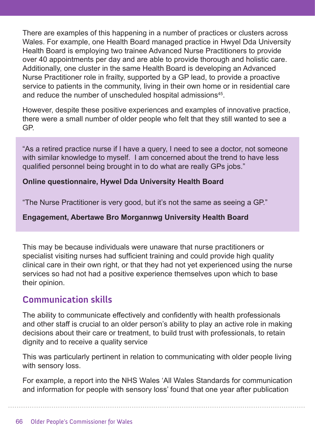There are examples of this happening in a number of practices or clusters across Wales. For example, one Health Board managed practice in Hwyel Dda University Health Board is employing two trainee Advanced Nurse Practitioners to provide over 40 appointments per day and are able to provide thorough and holistic care. Additionally, one cluster in the same Health Board is developing an Advanced Nurse Practitioner role in frailty, supported by a GP lead, to provide a proactive service to patients in the community, living in their own home or in residential care and reduce the number of unscheduled hospital admissions<sup>45</sup>.

However, despite these positive experiences and examples of innovative practice, there were a small number of older people who felt that they still wanted to see a GP.

"As a retired practice nurse if I have a query, I need to see a doctor, not someone with similar knowledge to myself. I am concerned about the trend to have less qualified personnel being brought in to do what are really GPs jobs."

### **Online questionnaire, Hywel Dda University Health Board**

"The Nurse Practitioner is very good, but it's not the same as seeing a GP."

### **Engagement, Abertawe Bro Morgannwg University Health Board**

This may be because individuals were unaware that nurse practitioners or specialist visiting nurses had sufficient training and could provide high quality clinical care in their own right, or that they had not yet experienced using the nurse services so had not had a positive experience themselves upon which to base their opinion.

### **Communication skills**

The ability to communicate effectively and confidently with health professionals and other staff is crucial to an older person's ability to play an active role in making decisions about their care or treatment, to build trust with professionals, to retain dignity and to receive a quality service

This was particularly pertinent in relation to communicating with older people living with sensory loss.

For example, a report into the NHS Wales 'All Wales Standards for communication and information for people with sensory loss' found that one year after publication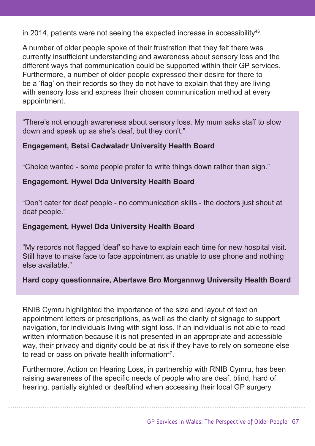in 2014, patients were not seeing the expected increase in accessibility<sup>46</sup>.

A number of older people spoke of their frustration that they felt there was currently insufficient understanding and awareness about sensory loss and the different ways that communication could be supported within their GP services. Furthermore, a number of older people expressed their desire for there to be a 'flag' on their records so they do not have to explain that they are living with sensory loss and express their chosen communication method at every appointment.

"There's not enough awareness about sensory loss. My mum asks staff to slow down and speak up as she's deaf, but they don't."

### **Engagement, Betsi Cadwaladr University Health Board**

"Choice wanted - some people prefer to write things down rather than sign."

### **Engagement, Hywel Dda University Health Board**

"Don't cater for deaf people - no communication skills - the doctors just shout at deaf people."

### **Engagement, Hywel Dda University Health Board**

"My records not flagged 'deaf' so have to explain each time for new hospital visit. Still have to make face to face appointment as unable to use phone and nothing else available."

### **Hard copy questionnaire, Abertawe Bro Morgannwg University Health Board**

RNIB Cymru highlighted the importance of the size and layout of text on appointment letters or prescriptions, as well as the clarity of signage to support navigation, for individuals living with sight loss. If an individual is not able to read written information because it is not presented in an appropriate and accessible way, their privacy and dignity could be at risk if they have to rely on someone else to read or pass on private health information<sup>47</sup>.

Furthermore, Action on Hearing Loss, in partnership with RNIB Cymru, has been raising awareness of the specific needs of people who are deaf, blind, hard of hearing, partially sighted or deafblind when accessing their local GP surgery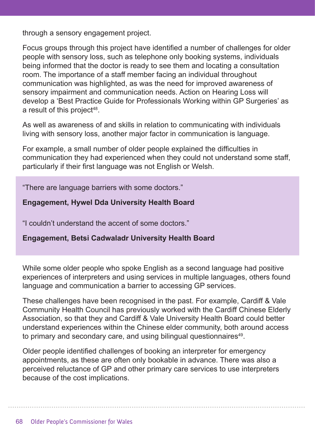through a sensory engagement project.

Focus groups through this project have identified a number of challenges for older people with sensory loss, such as telephone only booking systems, individuals being informed that the doctor is ready to see them and locating a consultation room. The importance of a staff member facing an individual throughout communication was highlighted, as was the need for improved awareness of sensory impairment and communication needs. Action on Hearing Loss will develop a 'Best Practice Guide for Professionals Working within GP Surgeries' as a result of this project<sup>48</sup>.

As well as awareness of and skills in relation to communicating with individuals living with sensory loss, another major factor in communication is language.

For example, a small number of older people explained the difficulties in communication they had experienced when they could not understand some staff, particularly if their first language was not English or Welsh.

"There are language barriers with some doctors."

#### **Engagement, Hywel Dda University Health Board**

"I couldn't understand the accent of some doctors."

#### **Engagement, Betsi Cadwaladr University Health Board**

While some older people who spoke English as a second language had positive experiences of interpreters and using services in multiple languages, others found language and communication a barrier to accessing GP services.

These challenges have been recognised in the past. For example, Cardiff & Vale Community Health Council has previously worked with the Cardiff Chinese Elderly Association, so that they and Cardiff & Vale University Health Board could better understand experiences within the Chinese elder community, both around access to primary and secondary care, and using bilingual questionnaires<sup>49</sup>.

Older people identified challenges of booking an interpreter for emergency appointments, as these are often only bookable in advance. There was also a perceived reluctance of GP and other primary care services to use interpreters because of the cost implications.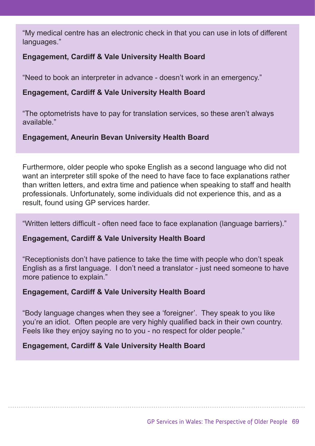"My medical centre has an electronic check in that you can use in lots of different languages."

### **Engagement, Cardiff & Vale University Health Board**

"Need to book an interpreter in advance - doesn't work in an emergency."

### **Engagement, Cardiff & Vale University Health Board**

"The optometrists have to pay for translation services, so these aren't always available."

### **Engagement, Aneurin Bevan University Health Board**

Furthermore, older people who spoke English as a second language who did not want an interpreter still spoke of the need to have face to face explanations rather than written letters, and extra time and patience when speaking to staff and health professionals. Unfortunately, some individuals did not experience this, and as a result, found using GP services harder.

"Written letters difficult - often need face to face explanation (language barriers)."

### **Engagement, Cardiff & Vale University Health Board**

"Receptionists don't have patience to take the time with people who don't speak English as a first language. I don't need a translator - just need someone to have more patience to explain."

### **Engagement, Cardiff & Vale University Health Board**

"Body language changes when they see a 'foreigner'. They speak to you like you're an idiot. Often people are very highly qualified back in their own country. Feels like they enjoy saying no to you - no respect for older people."

.........................................................................................................................................

### **Engagement, Cardiff & Vale University Health Board**

GP Services in Wales: The Perspective of Older People 69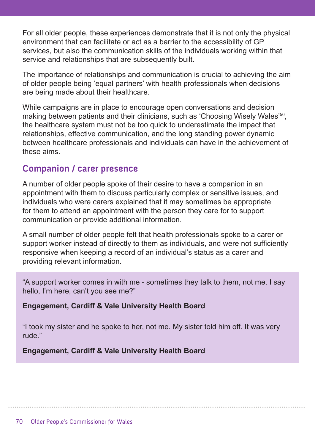For all older people, these experiences demonstrate that it is not only the physical environment that can facilitate or act as a barrier to the accessibility of GP services, but also the communication skills of the individuals working within that service and relationships that are subsequently built.

The importance of relationships and communication is crucial to achieving the aim of older people being 'equal partners' with health professionals when decisions are being made about their healthcare.

While campaigns are in place to encourage open conversations and decision making between patients and their clinicians, such as 'Choosing Wisely Wales'<sup>50</sup>, the healthcare system must not be too quick to underestimate the impact that relationships, effective communication, and the long standing power dynamic between healthcare professionals and individuals can have in the achievement of these aims.

### **Companion / carer presence**

A number of older people spoke of their desire to have a companion in an appointment with them to discuss particularly complex or sensitive issues, and individuals who were carers explained that it may sometimes be appropriate for them to attend an appointment with the person they care for to support communication or provide additional information.

A small number of older people felt that health professionals spoke to a carer or support worker instead of directly to them as individuals, and were not sufficiently responsive when keeping a record of an individual's status as a carer and providing relevant information.

"A support worker comes in with me - sometimes they talk to them, not me. I say hello, I'm here, can't you see me?"

### **Engagement, Cardiff & Vale University Health Board**

"I took my sister and he spoke to her, not me. My sister told him off. It was very rude."

.........................................................................................................................................

**Engagement, Cardiff & Vale University Health Board**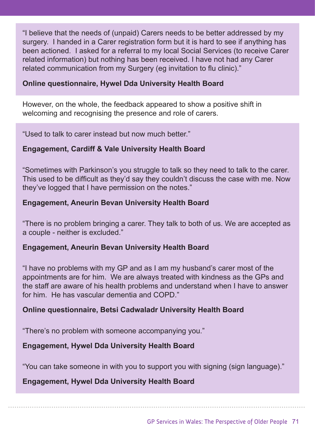"I believe that the needs of (unpaid) Carers needs to be better addressed by my surgery. I handed in a Carer registration form but it is hard to see if anything has been actioned. I asked for a referral to my local Social Services (to receive Carer related information) but nothing has been received. I have not had any Carer related communication from my Surgery (eg invitation to flu clinic)."

### **Online questionnaire, Hywel Dda University Health Board**

However, on the whole, the feedback appeared to show a positive shift in welcoming and recognising the presence and role of carers.

"Used to talk to carer instead but now much better."

### **Engagement, Cardiff & Vale University Health Board**

"Sometimes with Parkinson's you struggle to talk so they need to talk to the carer. This used to be difficult as they'd say they couldn't discuss the case with me. Now they've logged that I have permission on the notes."

### **Engagement, Aneurin Bevan University Health Board**

"There is no problem bringing a carer. They talk to both of us. We are accepted as a couple - neither is excluded."

### **Engagement, Aneurin Bevan University Health Board**

"I have no problems with my GP and as I am my husband's carer most of the appointments are for him. We are always treated with kindness as the GPs and the staff are aware of his health problems and understand when I have to answer for him. He has vascular dementia and COPD."

### **Online questionnaire, Betsi Cadwaladr University Health Board**

"There's no problem with someone accompanying you."

### **Engagement, Hywel Dda University Health Board**

"You can take someone in with you to support you with signing (sign language)."

.........................................................................................................................................

### **Engagement, Hywel Dda University Health Board**

GP Services in Wales: The Perspective of Older People 71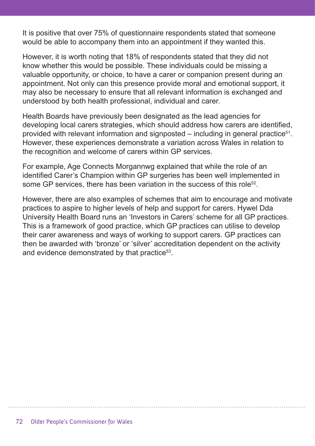It is positive that over 75% of questionnaire respondents stated that someone would be able to accompany them into an appointment if they wanted this.

However, it is worth noting that 18% of respondents stated that they did not know whether this would be possible. These individuals could be missing a valuable opportunity, or choice, to have a carer or companion present during an appointment. Not only can this presence provide moral and emotional support, it may also be necessary to ensure that all relevant information is exchanged and understood by both health professional, individual and carer.

Health Boards have previously been designated as the lead agencies for developing local carers strategies, which should address how carers are identified, provided with relevant information and signposted  $-$  including in general practice<sup>51</sup>. However, these experiences demonstrate a variation across Wales in relation to the recognition and welcome of carers within GP services.

For example, Age Connects Morgannwg explained that while the role of an identified Carer's Champion within GP surgeries has been well implemented in some GP services, there has been variation in the success of this role<sup>52</sup>.

However, there are also examples of schemes that aim to encourage and motivate practices to aspire to higher levels of help and support for carers. Hywel Dda University Health Board runs an 'Investors in Carers' scheme for all GP practices. This is a framework of good practice, which GP practices can utilise to develop their carer awareness and ways of working to support carers. GP practices can then be awarded with 'bronze' or 'silver' accreditation dependent on the activity and evidence demonstrated by that practice<sup>53</sup>.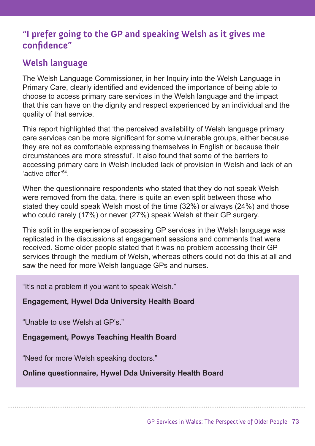## **"I prefer going to the GP and speaking Welsh as it gives me confidence"**

## **Welsh language**

The Welsh Language Commissioner, in her Inquiry into the Welsh Language in Primary Care, clearly identified and evidenced the importance of being able to choose to access primary care services in the Welsh language and the impact that this can have on the dignity and respect experienced by an individual and the quality of that service.

This report highlighted that 'the perceived availability of Welsh language primary care services can be more significant for some vulnerable groups, either because they are not as comfortable expressing themselves in English or because their circumstances are more stressful'. It also found that some of the barriers to accessing primary care in Welsh included lack of provision in Welsh and lack of an 'active offer'54.

When the questionnaire respondents who stated that they do not speak Welsh were removed from the data, there is quite an even split between those who stated they could speak Welsh most of the time (32%) or always (24%) and those who could rarely (17%) or never (27%) speak Welsh at their GP surgery.

This split in the experience of accessing GP services in the Welsh language was replicated in the discussions at engagement sessions and comments that were received. Some older people stated that it was no problem accessing their GP services through the medium of Welsh, whereas others could not do this at all and saw the need for more Welsh language GPs and nurses.

.........................................................................................................................................

"It's not a problem if you want to speak Welsh."

#### **Engagement, Hywel Dda University Health Board**

"Unable to use Welsh at GP's."

**Engagement, Powys Teaching Health Board** 

"Need for more Welsh speaking doctors."

#### **Online questionnaire, Hywel Dda University Health Board**

GP Services in Wales: The Perspective of Older People 73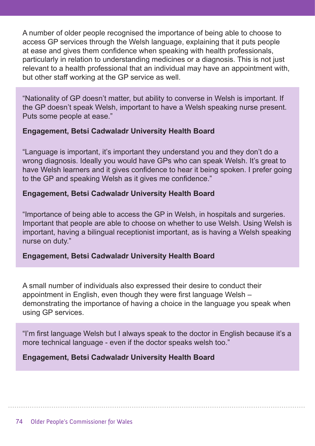A number of older people recognised the importance of being able to choose to access GP services through the Welsh language, explaining that it puts people at ease and gives them confidence when speaking with health professionals, particularly in relation to understanding medicines or a diagnosis. This is not just relevant to a health professional that an individual may have an appointment with, but other staff working at the GP service as well.

"Nationality of GP doesn't matter, but ability to converse in Welsh is important. If the GP doesn't speak Welsh, important to have a Welsh speaking nurse present. Puts some people at ease."

#### **Engagement, Betsi Cadwaladr University Health Board**

"Language is important, it's important they understand you and they don't do a wrong diagnosis. Ideally you would have GPs who can speak Welsh. It's great to have Welsh learners and it gives confidence to hear it being spoken. I prefer going to the GP and speaking Welsh as it gives me confidence."

#### **Engagement, Betsi Cadwaladr University Health Board**

"Importance of being able to access the GP in Welsh, in hospitals and surgeries. Important that people are able to choose on whether to use Welsh. Using Welsh is important, having a bilingual receptionist important, as is having a Welsh speaking nurse on duty."

#### **Engagement, Betsi Cadwaladr University Health Board**

A small number of individuals also expressed their desire to conduct their appointment in English, even though they were first language Welsh – demonstrating the importance of having a choice in the language you speak when using GP services.

"I'm first language Welsh but I always speak to the doctor in English because it's a more technical language - even if the doctor speaks welsh too."

.........................................................................................................................................

#### **Engagement, Betsi Cadwaladr University Health Board**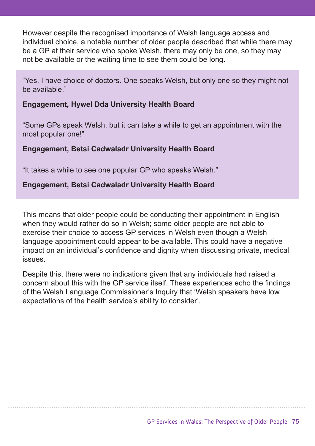However despite the recognised importance of Welsh language access and individual choice, a notable number of older people described that while there may be a GP at their service who spoke Welsh, there may only be one, so they may not be available or the waiting time to see them could be long.

"Yes, I have choice of doctors. One speaks Welsh, but only one so they might not be available."

#### **Engagement, Hywel Dda University Health Board**

"Some GPs speak Welsh, but it can take a while to get an appointment with the most popular one!"

#### **Engagement, Betsi Cadwaladr University Health Board**

"It takes a while to see one popular GP who speaks Welsh."

#### **Engagement, Betsi Cadwaladr University Health Board**

This means that older people could be conducting their appointment in English when they would rather do so in Welsh; some older people are not able to exercise their choice to access GP services in Welsh even though a Welsh language appointment could appear to be available. This could have a negative impact on an individual's confidence and dignity when discussing private, medical issues.

Despite this, there were no indications given that any individuals had raised a concern about this with the GP service itself. These experiences echo the findings of the Welsh Language Commissioner's Inquiry that 'Welsh speakers have low expectations of the health service's ability to consider'.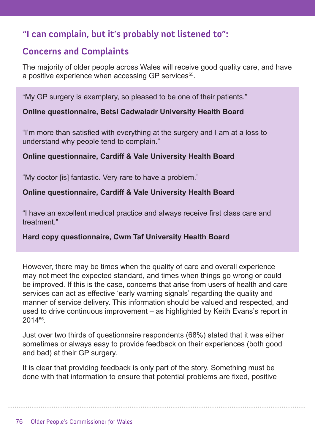## **"I can complain, but it's probably not listened to":**

## **Concerns and Complaints**

The majority of older people across Wales will receive good quality care, and have a positive experience when accessing GP services<sup>55</sup>.

"My GP surgery is exemplary, so pleased to be one of their patients."

#### **Online questionnaire, Betsi Cadwaladr University Health Board**

"I'm more than satisfied with everything at the surgery and I am at a loss to understand why people tend to complain."

#### **Online questionnaire, Cardiff & Vale University Health Board**

"My doctor [is] fantastic. Very rare to have a problem."

#### **Online questionnaire, Cardiff & Vale University Health Board**

"I have an excellent medical practice and always receive first class care and treatment."

#### **Hard copy questionnaire, Cwm Taf University Health Board**

However, there may be times when the quality of care and overall experience may not meet the expected standard, and times when things go wrong or could be improved. If this is the case, concerns that arise from users of health and care services can act as effective 'early warning signals' regarding the quality and manner of service delivery. This information should be valued and respected, and used to drive continuous improvement – as highlighted by Keith Evans's report in 201456.

Just over two thirds of questionnaire respondents (68%) stated that it was either sometimes or always easy to provide feedback on their experiences (both good and bad) at their GP surgery.

It is clear that providing feedback is only part of the story. Something must be done with that information to ensure that potential problems are fixed, positive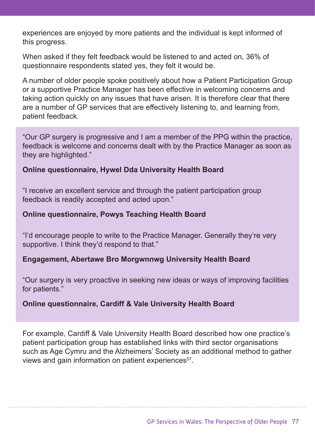experiences are enjoyed by more patients and the individual is kept informed of this progress.

When asked if they felt feedback would be listened to and acted on, 36% of questionnaire respondents stated yes, they felt it would be.

A number of older people spoke positively about how a Patient Participation Group or a supportive Practice Manager has been effective in welcoming concerns and taking action quickly on any issues that have arisen. It is therefore clear that there are a number of GP services that are effectively listening to, and learning from, patient feedback.

"Our GP surgery is progressive and I am a member of the PPG within the practice, feedback is welcome and concerns dealt with by the Practice Manager as soon as they are highlighted."

#### **Online questionnaire, Hywel Dda University Health Board**

"I receive an excellent service and through the patient participation group feedback is readily accepted and acted upon."

#### **Online questionnaire, Powys Teaching Health Board**

"I'd encourage people to write to the Practice Manager. Generally they're very supportive. I think they'd respond to that."

#### **Engagement, Abertawe Bro Morgwnnwg University Health Board**

"Our surgery is very proactive in seeking new ideas or ways of improving facilities for patients."

#### **Online questionnaire, Cardiff & Vale University Health Board**

For example, Cardiff & Vale University Health Board described how one practice's patient participation group has established links with third sector organisations such as Age Cymru and the Alzheimers' Society as an additional method to gather views and gain information on patient experiences<sup>57</sup>.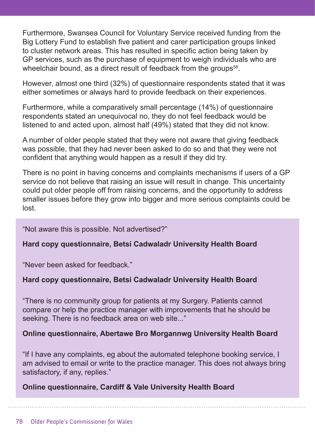Furthermore, Swansea Council for Voluntary Service received funding from the Big Lottery Fund to establish five patient and carer participation groups linked to cluster network areas. This has resulted in specific action being taken by GP services, such as the purchase of equipment to weigh individuals who are wheelchair bound, as a direct result of feedback from the groups<sup>58</sup>.

However, almost one third (32%) of questionnaire respondents stated that it was either sometimes or always hard to provide feedback on their experiences.

Furthermore, while a comparatively small percentage (14%) of questionnaire respondents stated an unequivocal no, they do not feel feedback would be listened to and acted upon, almost half (49%) stated that they did not know.

A number of older people stated that they were not aware that giving feedback was possible, that they had never been asked to do so and that they were not confident that anything would happen as a result if they did try.

There is no point in having concerns and complaints mechanisms if users of a GP service do not believe that raising an issue will result in change. This uncertainty could put older people off from raising concerns, and the opportunity to address smaller issues before they grow into bigger and more serious complaints could be lost.

#### "Not aware this is possible. Not advertised?"

#### **Hard copy questionnaire, Betsi Cadwaladr University Health Board**

"Never been asked for feedback."

#### **Hard copy questionnaire, Betsi Cadwaladr University Health Board**

"There is no community group for patients at my Surgery. Patients cannot compare or help the practice manager with improvements that he should be seeking. There is no feedback area on web site..."

#### **Online questionnaire, Abertawe Bro Morgannwg University Health Board**

"If I have any complaints, eg about the automated telephone booking service, I am advised to email or write to the practice manager. This does not always bring satisfactory, if any, replies."

.........................................................................................................................................

#### **Online questionnaire, Cardiff & Vale University Health Board**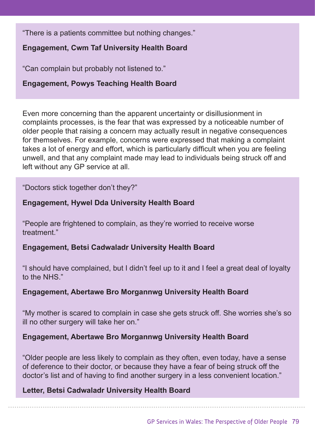"There is a patients committee but nothing changes."

#### **Engagement, Cwm Taf University Health Board**

"Can complain but probably not listened to."

#### **Engagement, Powys Teaching Health Board**

Even more concerning than the apparent uncertainty or disillusionment in complaints processes, is the fear that was expressed by a noticeable number of older people that raising a concern may actually result in negative consequences for themselves. For example, concerns were expressed that making a complaint takes a lot of energy and effort, which is particularly difficult when you are feeling unwell, and that any complaint made may lead to individuals being struck off and left without any GP service at all.

"Doctors stick together don't they?"

#### **Engagement, Hywel Dda University Health Board**

"People are frightened to complain, as they're worried to receive worse treatment."

#### **Engagement, Betsi Cadwaladr University Health Board**

"I should have complained, but I didn't feel up to it and I feel a great deal of loyalty to the NHS"

#### **Engagement, Abertawe Bro Morgannwg University Health Board**

"My mother is scared to complain in case she gets struck off. She worries she's so ill no other surgery will take her on."

#### **Engagement, Abertawe Bro Morgannwg University Health Board**

"Older people are less likely to complain as they often, even today, have a sense of deference to their doctor, or because they have a fear of being struck off the doctor's list and of having to find another surgery in a less convenient location."

.........................................................................................................................................

#### **Letter, Betsi Cadwaladr University Health Board**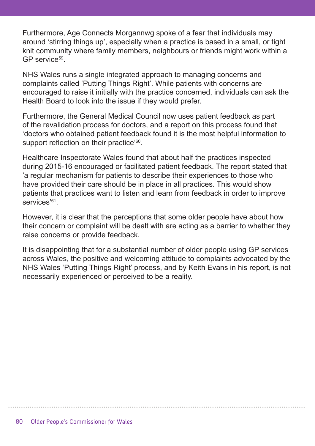Furthermore, Age Connects Morgannwg spoke of a fear that individuals may around 'stirring things up', especially when a practice is based in a small, or tight knit community where family members, neighbours or friends might work within a GP service<sup>59</sup>.

NHS Wales runs a single integrated approach to managing concerns and complaints called 'Putting Things Right'. While patients with concerns are encouraged to raise it initially with the practice concerned, individuals can ask the Health Board to look into the issue if they would prefer.

Furthermore, the General Medical Council now uses patient feedback as part of the revalidation process for doctors, and a report on this process found that 'doctors who obtained patient feedback found it is the most helpful information to support reflection on their practice<sup>'60</sup>.

Healthcare Inspectorate Wales found that about half the practices inspected during 2015-16 encouraged or facilitated patient feedback. The report stated that 'a regular mechanism for patients to describe their experiences to those who have provided their care should be in place in all practices. This would show patients that practices want to listen and learn from feedback in order to improve services<sup>'61</sup>.

However, it is clear that the perceptions that some older people have about how their concern or complaint will be dealt with are acting as a barrier to whether they raise concerns or provide feedback.

It is disappointing that for a substantial number of older people using GP services across Wales, the positive and welcoming attitude to complaints advocated by the NHS Wales 'Putting Things Right' process, and by Keith Evans in his report, is not necessarily experienced or perceived to be a reality.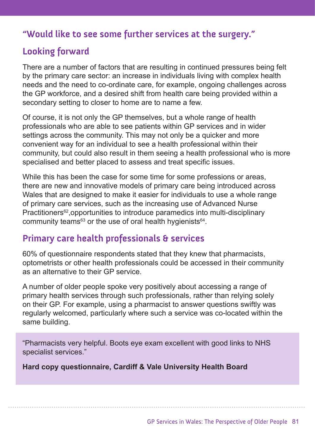### **"Would like to see some further services at the surgery."**

## **Looking forward**

There are a number of factors that are resulting in continued pressures being felt by the primary care sector: an increase in individuals living with complex health needs and the need to co-ordinate care, for example, ongoing challenges across the GP workforce, and a desired shift from health care being provided within a secondary setting to closer to home are to name a few.

Of course, it is not only the GP themselves, but a whole range of health professionals who are able to see patients within GP services and in wider settings across the community. This may not only be a quicker and more convenient way for an individual to see a health professional within their community, but could also result in them seeing a health professional who is more specialised and better placed to assess and treat specific issues.

While this has been the case for some time for some professions or areas, there are new and innovative models of primary care being introduced across Wales that are designed to make it easier for individuals to use a whole range of primary care services, such as the increasing use of Advanced Nurse Practitioners<sup>62</sup>, opportunities to introduce paramedics into multi-disciplinary community teams<sup>63</sup> or the use of oral health hygienists<sup>64</sup>.

## **Primary care health professionals & services**

60% of questionnaire respondents stated that they knew that pharmacists, optometrists or other health professionals could be accessed in their community as an alternative to their GP service.

A number of older people spoke very positively about accessing a range of primary health services through such professionals, rather than relying solely on their GP. For example, using a pharmacist to answer questions swiftly was regularly welcomed, particularly where such a service was co-located within the same building.

"Pharmacists very helpful. Boots eye exam excellent with good links to NHS specialist services."

.........................................................................................................................................

**Hard copy questionnaire, Cardiff & Vale University Health Board**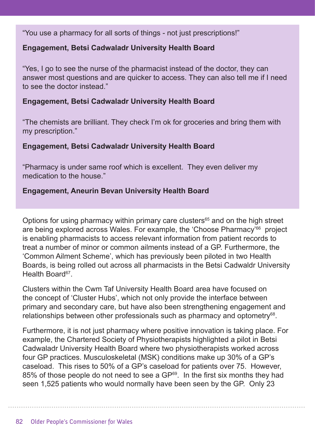"You use a pharmacy for all sorts of things - not just prescriptions!"

#### **Engagement, Betsi Cadwaladr University Health Board**

"Yes, I go to see the nurse of the pharmacist instead of the doctor, they can answer most questions and are quicker to access. They can also tell me if I need to see the doctor instead."

#### **Engagement, Betsi Cadwaladr University Health Board**

"The chemists are brilliant. They check I'm ok for groceries and bring them with my prescription."

#### **Engagement, Betsi Cadwaladr University Health Board**

"Pharmacy is under same roof which is excellent. They even deliver my medication to the house."

#### **Engagement, Aneurin Bevan University Health Board**

Options for using pharmacy within primary care clusters<sup>65</sup> and on the high street are being explored across Wales. For example, the 'Choose Pharmacy'<sup>66</sup> project is enabling pharmacists to access relevant information from patient records to treat a number of minor or common ailments instead of a GP. Furthermore, the 'Common Ailment Scheme', which has previously been piloted in two Health Boards, is being rolled out across all pharmacists in the Betsi Cadwaldr University Health Board<sup>67</sup>

Clusters within the Cwm Taf University Health Board area have focused on the concept of 'Cluster Hubs', which not only provide the interface between primary and secondary care, but have also been strengthening engagement and relationships between other professionals such as pharmacy and optometry<sup>68</sup>.

Furthermore, it is not just pharmacy where positive innovation is taking place. For example, the Chartered Society of Physiotherapists highlighted a pilot in Betsi Cadwaladr University Health Board where two physiotherapists worked across four GP practices. Musculoskeletal (MSK) conditions make up 30% of a GP's caseload. This rises to 50% of a GP's caseload for patients over 75. However, 85% of those people do not need to see a  $GP<sup>69</sup>$ . In the first six months they had seen 1,525 patients who would normally have been seen by the GP. Only 23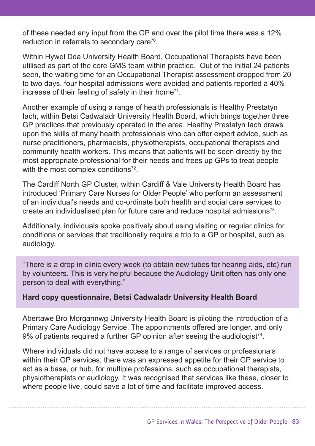of these needed any input from the GP and over the pilot time there was a 12% reduction in referrals to secondary care<sup>70</sup>.

Within Hywel Dda University Health Board, Occupational Therapists have been utilised as part of the core GMS team within practice. Out of the initial 24 patients seen, the waiting time for an Occupational Therapist assessment dropped from 20 to two days, four hospital admissions were avoided and patients reported a 40% increase of their feeling of safety in their home<sup> $71$ </sup>.

Another example of using a range of health professionals is Healthy Prestatyn Iach, within Betsi Cadwaladr University Health Board, which brings together three GP practices that previously operated in the area. Healthy Prestatyn Iach draws upon the skills of many health professionals who can offer expert advice, such as nurse practitioners, pharmacists, physiotherapists, occupational therapists and community health workers. This means that patients will be seen directly by the most appropriate professional for their needs and frees up GPs to treat people with the most complex conditions<sup>72</sup>.

The Cardiff North GP Cluster, within Cardiff & Vale University Health Board has introduced 'Primary Care Nurses for Older People' who perform an assessment of an individual's needs and co-ordinate both health and social care services to create an individualised plan for future care and reduce hospital admissions<sup>73</sup>.

Additionally, individuals spoke positively about using visiting or regular clinics for conditions or services that traditionally require a trip to a GP or hospital, such as audiology.

"There is a drop in clinic every week (to obtain new tubes for hearing aids, etc) run by volunteers. This is very helpful because the Audiology Unit often has only one person to deal with everything."

#### **Hard copy questionnaire, Betsi Cadwaladr University Health Board**

Abertawe Bro Morgannwg University Health Board is piloting the introduction of a Primary Care Audiology Service. The appointments offered are longer, and only 9% of patients required a further GP opinion after seeing the audiologist<sup>74</sup>.

Where individuals did not have access to a range of services or professionals within their GP services, there was an expressed appetite for their GP service to act as a base, or hub, for multiple professions, such as occupational therapists, physiotherapists or audiology. It was recognised that services like these, closer to where people live, could save a lot of time and facilitate improved access.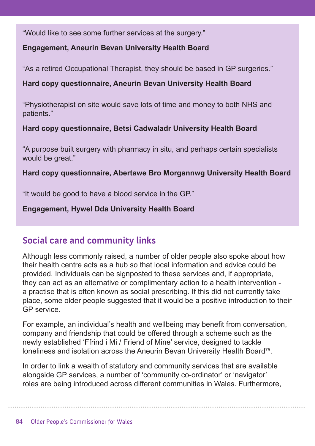"Would like to see some further services at the surgery."

#### **Engagement, Aneurin Bevan University Health Board**

"As a retired Occupational Therapist, they should be based in GP surgeries."

#### **Hard copy questionnaire, Aneurin Bevan University Health Board**

"Physiotherapist on site would save lots of time and money to both NHS and patients."

#### **Hard copy questionnaire, Betsi Cadwaladr University Health Board**

"A purpose built surgery with pharmacy in situ, and perhaps certain specialists would be great."

#### **Hard copy questionnaire, Abertawe Bro Morgannwg University Health Board**

"It would be good to have a blood service in the GP."

#### **Engagement, Hywel Dda University Health Board**

### **Social care and community links**

Although less commonly raised, a number of older people also spoke about how their health centre acts as a hub so that local information and advice could be provided. Individuals can be signposted to these services and, if appropriate, they can act as an alternative or complimentary action to a health intervention a practise that is often known as social prescribing. If this did not currently take place, some older people suggested that it would be a positive introduction to their GP service.

For example, an individual's health and wellbeing may benefit from conversation, company and friendship that could be offered through a scheme such as the newly established 'Ffrind i Mi / Friend of Mine' service, designed to tackle loneliness and isolation across the Aneurin Bevan University Health Board<sup>75</sup>.

In order to link a wealth of statutory and community services that are available alongside GP services, a number of 'community co-ordinator' or 'navigator' roles are being introduced across different communities in Wales. Furthermore,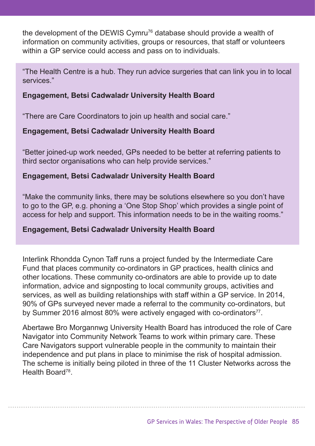the development of the DEWIS Cymru<sup>76</sup> database should provide a wealth of information on community activities, groups or resources, that staff or volunteers within a GP service could access and pass on to individuals.

"The Health Centre is a hub. They run advice surgeries that can link you in to local services."

#### **Engagement, Betsi Cadwaladr University Health Board**

"There are Care Coordinators to join up health and social care."

#### **Engagement, Betsi Cadwaladr University Health Board**

"Better joined-up work needed, GPs needed to be better at referring patients to third sector organisations who can help provide services."

#### **Engagement, Betsi Cadwaladr University Health Board**

"Make the community links, there may be solutions elsewhere so you don't have to go to the GP, e.g. phoning a 'One Stop Shop' which provides a single point of access for help and support. This information needs to be in the waiting rooms."

#### **Engagement, Betsi Cadwaladr University Health Board**

Interlink Rhondda Cynon Taff runs a project funded by the Intermediate Care Fund that places community co-ordinators in GP practices, health clinics and other locations. These community co-ordinators are able to provide up to date information, advice and signposting to local community groups, activities and services, as well as building relationships with staff within a GP service. In 2014, 90% of GPs surveyed never made a referral to the community co-ordinators, but by Summer 2016 almost 80% were actively engaged with co-ordinators<sup>77</sup>.

Abertawe Bro Morgannwg University Health Board has introduced the role of Care Navigator into Community Network Teams to work within primary care. These Care Navigators support vulnerable people in the community to maintain their independence and put plans in place to minimise the risk of hospital admission. The scheme is initially being piloted in three of the 11 Cluster Networks across the Health Board<sup>78</sup>.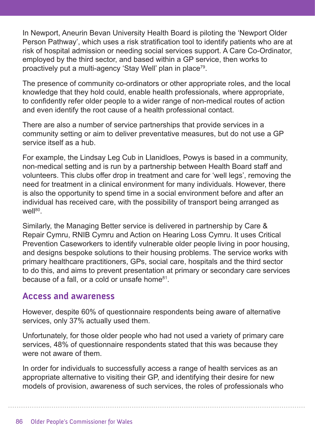In Newport, Aneurin Bevan University Health Board is piloting the 'Newport Older Person Pathway', which uses a risk stratification tool to identify patients who are at risk of hospital admission or needing social services support. A Care Co-Ordinator, employed by the third sector, and based within a GP service, then works to proactively put a multi-agency 'Stay Well' plan in place<sup>79</sup>.

The presence of community co-ordinators or other appropriate roles, and the local knowledge that they hold could, enable health professionals, where appropriate, to confidently refer older people to a wider range of non-medical routes of action and even identify the root cause of a health professional contact.

There are also a number of service partnerships that provide services in a community setting or aim to deliver preventative measures, but do not use a GP service itself as a hub.

For example, the Lindsay Leg Cub in Llanidloes, Powys is based in a community, non-medical setting and is run by a partnership between Health Board staff and volunteers. This clubs offer drop in treatment and care for 'well legs', removing the need for treatment in a clinical environment for many individuals. However, there is also the opportunity to spend time in a social environment before and after an individual has received care, with the possibility of transport being arranged as  $well<sup>80</sup>$ .

Similarly, the Managing Better service is delivered in partnership by Care & Repair Cymru, RNIB Cymru and Action on Hearing Loss Cymru. It uses Critical Prevention Caseworkers to identify vulnerable older people living in poor housing, and designs bespoke solutions to their housing problems. The service works with primary healthcare practitioners, GPs, social care, hospitals and the third sector to do this, and aims to prevent presentation at primary or secondary care services because of a fall, or a cold or unsafe home<sup>81</sup>.

### **Access and awareness**

However, despite 60% of questionnaire respondents being aware of alternative services, only 37% actually used them.

Unfortunately, for those older people who had not used a variety of primary care services, 48% of questionnaire respondents stated that this was because they were not aware of them.

In order for individuals to successfully access a range of health services as an appropriate alternative to visiting their GP, and identifying their desire for new models of provision, awareness of such services, the roles of professionals who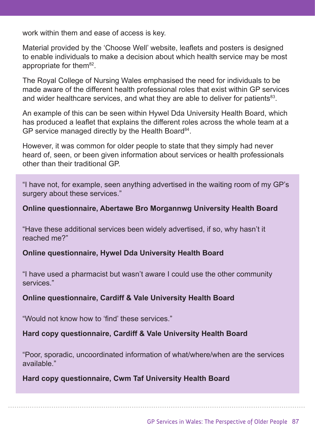work within them and ease of access is key.

Material provided by the 'Choose Well' website, leaflets and posters is designed to enable individuals to make a decision about which health service may be most appropriate for them<sup>82</sup>.

The Royal College of Nursing Wales emphasised the need for individuals to be made aware of the different health professional roles that exist within GP services and wider healthcare services, and what they are able to deliver for patients<sup>83</sup>.

An example of this can be seen within Hywel Dda University Health Board, which has produced a leaflet that explains the different roles across the whole team at a GP service managed directly by the Health Board<sup>84</sup>.

However, it was common for older people to state that they simply had never heard of, seen, or been given information about services or health professionals other than their traditional GP.

"I have not, for example, seen anything advertised in the waiting room of my GP's surgery about these services."

#### **Online questionnaire, Abertawe Bro Morgannwg University Health Board**

"Have these additional services been widely advertised, if so, why hasn't it reached me?"

#### **Online questionnaire, Hywel Dda University Health Board**

"I have used a pharmacist but wasn't aware I could use the other community services."

#### **Online questionnaire, Cardiff & Vale University Health Board**

"Would not know how to 'find' these services."

#### **Hard copy questionnaire, Cardiff & Vale University Health Board**

"Poor, sporadic, uncoordinated information of what/where/when are the services available."

.........................................................................................................................................

#### **Hard copy questionnaire, Cwm Taf University Health Board**

GP Services in Wales: The Perspective of Older People 87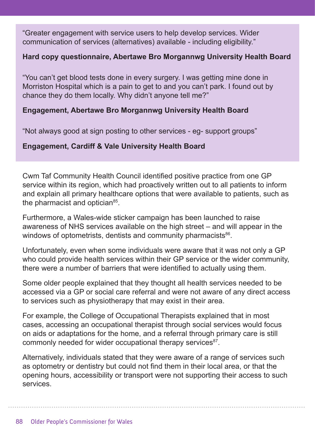"Greater engagement with service users to help develop services. Wider communication of services (alternatives) available - including eligibility."

#### **Hard copy questionnaire, Abertawe Bro Morgannwg University Health Board**

"You can't get blood tests done in every surgery. I was getting mine done in Morriston Hospital which is a pain to get to and you can't park. I found out by chance they do them locally. Why didn't anyone tell me?"

#### **Engagement, Abertawe Bro Morgannwg University Health Board**

"Not always good at sign posting to other services - eg- support groups"

#### **Engagement, Cardiff & Vale University Health Board**

Cwm Taf Community Health Council identified positive practice from one GP service within its region, which had proactively written out to all patients to inform and explain all primary healthcare options that were available to patients, such as the pharmacist and optician<sup>85</sup>.

Furthermore, a Wales-wide sticker campaign has been launched to raise awareness of NHS services available on the high street – and will appear in the windows of optometrists, dentists and community pharmacists<sup>86</sup>.

Unfortunately, even when some individuals were aware that it was not only a GP who could provide health services within their GP service or the wider community, there were a number of barriers that were identified to actually using them.

Some older people explained that they thought all health services needed to be accessed via a GP or social care referral and were not aware of any direct access to services such as physiotherapy that may exist in their area.

For example, the College of Occupational Therapists explained that in most cases, accessing an occupational therapist through social services would focus on aids or adaptations for the home, and a referral through primary care is still commonly needed for wider occupational therapy services<sup>87</sup>.

Alternatively, individuals stated that they were aware of a range of services such as optometry or dentistry but could not find them in their local area, or that the opening hours, accessibility or transport were not supporting their access to such services.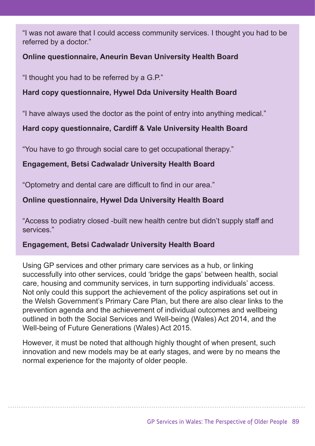"I was not aware that I could access community services. I thought you had to be referred by a doctor."

#### **Online questionnaire, Aneurin Bevan University Health Board**

"I thought you had to be referred by a G.P."

#### **Hard copy questionnaire, Hywel Dda University Health Board**

"I have always used the doctor as the point of entry into anything medical."

#### **Hard copy questionnaire, Cardiff & Vale University Health Board**

"You have to go through social care to get occupational therapy."

#### **Engagement, Betsi Cadwaladr University Health Board**

"Optometry and dental care are difficult to find in our area."

#### **Online questionnaire, Hywel Dda University Health Board**

"Access to podiatry closed -built new health centre but didn't supply staff and services."

#### **Engagement, Betsi Cadwaladr University Health Board**

Using GP services and other primary care services as a hub, or linking successfully into other services, could 'bridge the gaps' between health, social care, housing and community services, in turn supporting individuals' access. Not only could this support the achievement of the policy aspirations set out in the Welsh Government's Primary Care Plan, but there are also clear links to the prevention agenda and the achievement of individual outcomes and wellbeing outlined in both the Social Services and Well-being (Wales) Act 2014, and the Well-being of Future Generations (Wales) Act 2015.

However, it must be noted that although highly thought of when present, such innovation and new models may be at early stages, and were by no means the normal experience for the majority of older people.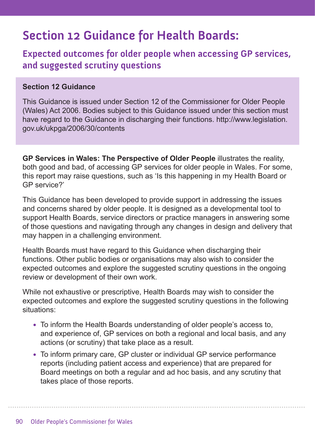# **Section 12 Guidance for Health Boards:**

**Expected outcomes for older people when accessing GP services, and suggested scrutiny questions**

#### **Section 12 Guidance**

This Guidance is issued under Section 12 of the Commissioner for Older People (Wales) Act 2006. Bodies subject to this Guidance issued under this section must have regard to the Guidance in discharging their functions. http://www.legislation. gov.uk/ukpga/2006/30/contents

**GP Services in Wales: The Perspective of Older People** illustrates the reality, both good and bad, of accessing GP services for older people in Wales. For some, this report may raise questions, such as 'Is this happening in my Health Board or GP service?'

This Guidance has been developed to provide support in addressing the issues and concerns shared by older people. It is designed as a developmental tool to support Health Boards, service directors or practice managers in answering some of those questions and navigating through any changes in design and delivery that may happen in a challenging environment.

Health Boards must have regard to this Guidance when discharging their functions. Other public bodies or organisations may also wish to consider the expected outcomes and explore the suggested scrutiny questions in the ongoing review or development of their own work.

While not exhaustive or prescriptive, Health Boards may wish to consider the expected outcomes and explore the suggested scrutiny questions in the following situations:

- To inform the Health Boards understanding of older people's access to, and experience of, GP services on both a regional and local basis, and any actions (or scrutiny) that take place as a result.
- To inform primary care, GP cluster or individual GP service performance reports (including patient access and experience) that are prepared for Board meetings on both a regular and ad hoc basis, and any scrutiny that takes place of those reports.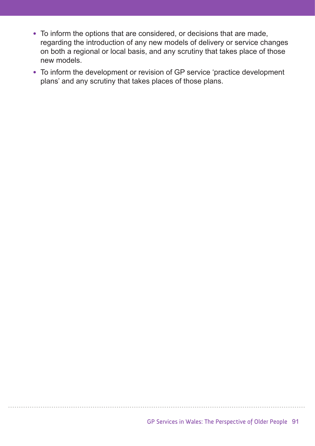- To inform the options that are considered, or decisions that are made, regarding the introduction of any new models of delivery or service changes on both a regional or local basis, and any scrutiny that takes place of those new models.
- To inform the development or revision of GP service 'practice development plans' and any scrutiny that takes places of those plans.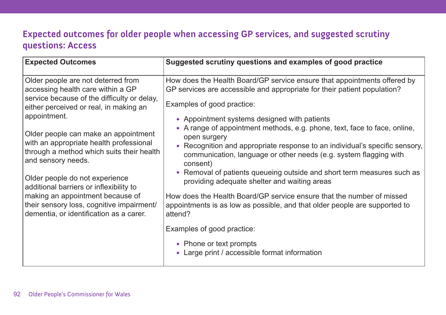# **Expected outcomes for older people when accessing GP services, and suggested scrutiny questions: Access**

| <b>Expected Outcomes</b>                                                                                                                                                                                                                                                                                                                                                                                            | Suggested scrutiny questions and examples of good practice                                                                                                                                                                                                                                                                                                                                                                                                                                                                                                                                                                                                                                         |
|---------------------------------------------------------------------------------------------------------------------------------------------------------------------------------------------------------------------------------------------------------------------------------------------------------------------------------------------------------------------------------------------------------------------|----------------------------------------------------------------------------------------------------------------------------------------------------------------------------------------------------------------------------------------------------------------------------------------------------------------------------------------------------------------------------------------------------------------------------------------------------------------------------------------------------------------------------------------------------------------------------------------------------------------------------------------------------------------------------------------------------|
| Older people are not deterred from<br>accessing health care within a GP<br>service because of the difficulty or delay,<br>either perceived or real, in making an<br>appointment.<br>Older people can make an appointment<br>with an appropriate health professional<br>through a method which suits their health<br>and sensory needs.<br>Older people do not experience<br>additional barriers or inflexibility to | How does the Health Board/GP service ensure that appointments offered by<br>GP services are accessible and appropriate for their patient population?<br>Examples of good practice:<br>• Appointment systems designed with patients<br>• A range of appointment methods, e.g. phone, text, face to face, online,<br>open surgery<br>• Recognition and appropriate response to an individual's specific sensory,<br>communication, language or other needs (e.g. system flagging with<br>consent)<br>• Removal of patients queueing outside and short term measures such as<br>providing adequate shelter and waiting areas<br>How does the Health Board/GP service ensure that the number of missed |
| making an appointment because of<br>their sensory loss, cognitive impairment/<br>dementia, or identification as a carer.                                                                                                                                                                                                                                                                                            | appointments is as low as possible, and that older people are supported to<br>attend?                                                                                                                                                                                                                                                                                                                                                                                                                                                                                                                                                                                                              |
|                                                                                                                                                                                                                                                                                                                                                                                                                     | Examples of good practice:<br>• Phone or text prompts<br>• Large print / accessible format information                                                                                                                                                                                                                                                                                                                                                                                                                                                                                                                                                                                             |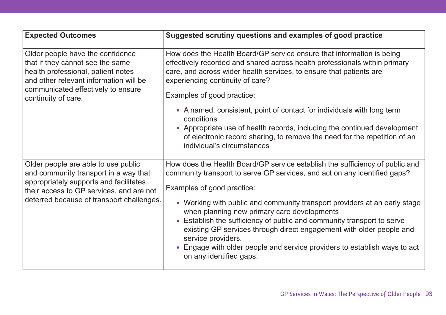| <b>Expected Outcomes</b>                                                                                                                                                                                          | Suggested scrutiny questions and examples of good practice                                                                                                                                                                                                                                                                                                                                                                                                                                                                                                                                                   |
|-------------------------------------------------------------------------------------------------------------------------------------------------------------------------------------------------------------------|--------------------------------------------------------------------------------------------------------------------------------------------------------------------------------------------------------------------------------------------------------------------------------------------------------------------------------------------------------------------------------------------------------------------------------------------------------------------------------------------------------------------------------------------------------------------------------------------------------------|
| Older people have the confidence<br>that if they cannot see the same<br>health professional, patient notes<br>and other relevant information will be<br>communicated effectively to ensure<br>continuity of care. | How does the Health Board/GP service ensure that information is being<br>effectively recorded and shared across health professionals within primary<br>care, and across wider health services, to ensure that patients are<br>experiencing continuity of care?<br>Examples of good practice:                                                                                                                                                                                                                                                                                                                 |
|                                                                                                                                                                                                                   | • A named, consistent, point of contact for individuals with long term<br>conditions<br>• Appropriate use of health records, including the continued development<br>of electronic record sharing, to remove the need for the repetition of an<br>individual's circumstances                                                                                                                                                                                                                                                                                                                                  |
| Older people are able to use public<br>and community transport in a way that<br>appropriately supports and facilitates<br>their access to GP services, and are not<br>deterred because of transport challenges.   | How does the Health Board/GP service establish the sufficiency of public and<br>community transport to serve GP services, and act on any identified gaps?<br>Examples of good practice:<br>• Working with public and community transport providers at an early stage<br>when planning new primary care developments<br>Establish the sufficiency of public and community transport to serve<br>$\bullet$<br>existing GP services through direct engagement with older people and<br>service providers.<br>Engage with older people and service providers to establish ways to act<br>on any identified gaps. |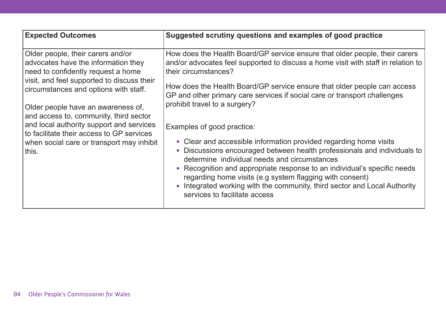| <b>Expected Outcomes</b>                                                                                                                                                                                                                                                                                                                                                                                                             | Suggested scrutiny questions and examples of good practice                                                                                                                                                                                                                                                                                                                                                                                                                                                                                                                                                                                                                                                                                                                                                                                                              |
|--------------------------------------------------------------------------------------------------------------------------------------------------------------------------------------------------------------------------------------------------------------------------------------------------------------------------------------------------------------------------------------------------------------------------------------|-------------------------------------------------------------------------------------------------------------------------------------------------------------------------------------------------------------------------------------------------------------------------------------------------------------------------------------------------------------------------------------------------------------------------------------------------------------------------------------------------------------------------------------------------------------------------------------------------------------------------------------------------------------------------------------------------------------------------------------------------------------------------------------------------------------------------------------------------------------------------|
| Older people, their carers and/or<br>advocates have the information they<br>need to confidently request a home<br>visit, and feel supported to discuss their<br>circumstances and options with staff.<br>Older people have an awareness of,<br>and access to, community, third sector<br>and local authority support and services<br>to facilitate their access to GP services<br>when social care or transport may inhibit<br>this. | How does the Health Board/GP service ensure that older people, their carers<br>and/or advocates feel supported to discuss a home visit with staff in relation to<br>their circumstances?<br>How does the Health Board/GP service ensure that older people can access<br>GP and other primary care services if social care or transport challenges<br>prohibit travel to a surgery?<br>Examples of good practice:<br>• Clear and accessible information provided regarding home visits<br>• Discussions encouraged between health professionals and individuals to<br>determine individual needs and circumstances<br>• Recognition and appropriate response to an individual's specific needs<br>regarding home visits (e.g system flagging with consent)<br>• Integrated working with the community, third sector and Local Authority<br>services to facilitate access |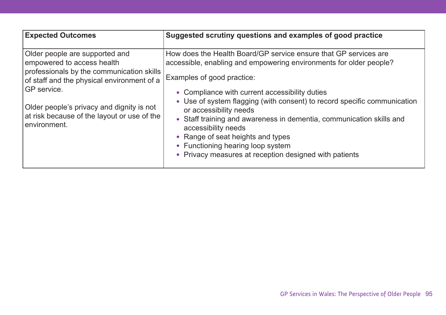| <b>Expected Outcomes</b>                                                                                                                                                                                                                                                           | Suggested scrutiny questions and examples of good practice                                                                                                                                                                                                                                                                                                                                                                                                                                                                                                      |
|------------------------------------------------------------------------------------------------------------------------------------------------------------------------------------------------------------------------------------------------------------------------------------|-----------------------------------------------------------------------------------------------------------------------------------------------------------------------------------------------------------------------------------------------------------------------------------------------------------------------------------------------------------------------------------------------------------------------------------------------------------------------------------------------------------------------------------------------------------------|
| Older people are supported and<br>empowered to access health<br>professionals by the communication skills<br>of staff and the physical environment of a<br>GP service.<br>Older people's privacy and dignity is not<br>at risk because of the layout or use of the<br>environment. | How does the Health Board/GP service ensure that GP services are<br>accessible, enabling and empowering environments for older people?<br>Examples of good practice:<br>• Compliance with current accessibility duties<br>• Use of system flagging (with consent) to record specific communication<br>or accessibility needs<br>• Staff training and awareness in dementia, communication skills and<br>accessibility needs<br>• Range of seat heights and types<br>• Functioning hearing loop system<br>• Privacy measures at reception designed with patients |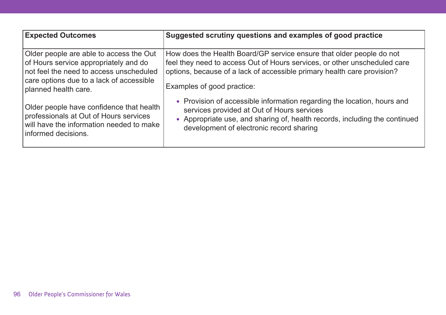| <b>Expected Outcomes</b>                                                                                                                                                                        | Suggested scrutiny questions and examples of good practice                                                                                                                                                                                                 |
|-------------------------------------------------------------------------------------------------------------------------------------------------------------------------------------------------|------------------------------------------------------------------------------------------------------------------------------------------------------------------------------------------------------------------------------------------------------------|
| Older people are able to access the Out<br>of Hours service appropriately and do<br>not feel the need to access unscheduled<br>care options due to a lack of accessible<br>planned health care. | How does the Health Board/GP service ensure that older people do not<br>feel they need to access Out of Hours services, or other unscheduled care<br>options, because of a lack of accessible primary health care provision?<br>Examples of good practice: |
| Older people have confidence that health<br>professionals at Out of Hours services<br>will have the information needed to make<br>Informed decisions.                                           | • Provision of accessible information regarding the location, hours and<br>services provided at Out of Hours services<br>• Appropriate use, and sharing of, health records, including the continued<br>development of electronic record sharing            |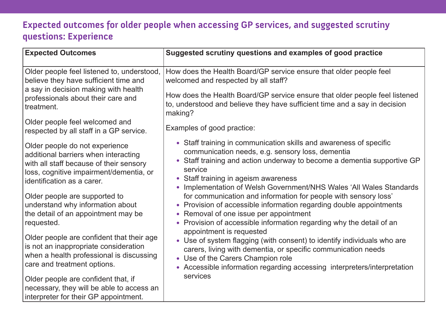# **Expected outcomes for older people when accessing GP services, and suggested scrutiny questions: Experience**

| <b>Expected Outcomes</b>                                                                                                                                                                                                                                                                                             | Suggested scrutiny questions and examples of good practice                                                                                                                                                                                                                                                                                                                                                                                                                                                                                                                              |
|----------------------------------------------------------------------------------------------------------------------------------------------------------------------------------------------------------------------------------------------------------------------------------------------------------------------|-----------------------------------------------------------------------------------------------------------------------------------------------------------------------------------------------------------------------------------------------------------------------------------------------------------------------------------------------------------------------------------------------------------------------------------------------------------------------------------------------------------------------------------------------------------------------------------------|
| Older people feel listened to, understood,<br>believe they have sufficient time and<br>a say in decision making with health<br>professionals about their care and<br>treatment.                                                                                                                                      | How does the Health Board/GP service ensure that older people feel<br>welcomed and respected by all staff?<br>How does the Health Board/GP service ensure that older people feel listened<br>to, understood and believe they have sufficient time and a say in decision<br>making?                                                                                                                                                                                                                                                                                                      |
| Older people feel welcomed and<br>respected by all staff in a GP service.                                                                                                                                                                                                                                            | Examples of good practice:                                                                                                                                                                                                                                                                                                                                                                                                                                                                                                                                                              |
| Older people do not experience<br>additional barriers when interacting<br>with all staff because of their sensory<br>loss, cognitive impairment/dementia, or<br>identification as a carer.<br>Older people are supported to<br>understand why information about<br>the detail of an appointment may be<br>requested. | • Staff training in communication skills and awareness of specific<br>communication needs, e.g. sensory loss, dementia<br>• Staff training and action underway to become a dementia supportive GP<br>service<br>• Staff training in ageism awareness<br>• Implementation of Welsh Government/NHS Wales 'All Wales Standards<br>for communication and information for people with sensory loss'<br>• Provision of accessible information regarding double appointments<br>• Removal of one issue per appointment<br>• Provision of accessible information regarding why the detail of an |
| Older people are confident that their age<br>is not an inappropriate consideration<br>when a health professional is discussing<br>care and treatment options.<br>Older people are confident that, if<br>necessary, they will be able to access an<br>interpreter for their GP appointment.                           | appointment is requested<br>• Use of system flagging (with consent) to identify individuals who are<br>carers, living with dementia, or specific communication needs<br>• Use of the Carers Champion role<br>• Accessible information regarding accessing interpreters/interpretation<br>services                                                                                                                                                                                                                                                                                       |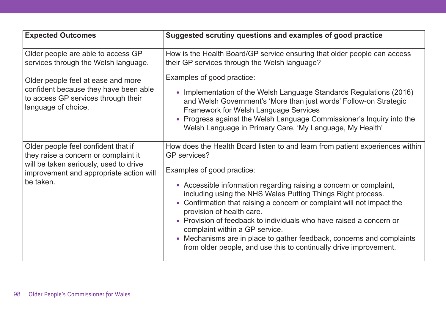| <b>Expected Outcomes</b>                                                                                                                                                      | Suggested scrutiny questions and examples of good practice                                                                                                                                                                                                                                                                                                                                                                                                                                                                                                                                                                     |
|-------------------------------------------------------------------------------------------------------------------------------------------------------------------------------|--------------------------------------------------------------------------------------------------------------------------------------------------------------------------------------------------------------------------------------------------------------------------------------------------------------------------------------------------------------------------------------------------------------------------------------------------------------------------------------------------------------------------------------------------------------------------------------------------------------------------------|
| Older people are able to access GP<br>services through the Welsh language.                                                                                                    | How is the Health Board/GP service ensuring that older people can access<br>their GP services through the Welsh language?                                                                                                                                                                                                                                                                                                                                                                                                                                                                                                      |
| Older people feel at ease and more<br>confident because they have been able<br>to access GP services through their<br>language of choice.                                     | Examples of good practice:<br>• Implementation of the Welsh Language Standards Regulations (2016)<br>and Welsh Government's 'More than just words' Follow-on Strategic<br>Framework for Welsh Language Services<br>Progress against the Welsh Language Commissioner's Inquiry into the<br>$\bullet$<br>Welsh Language in Primary Care, 'My Language, My Health'                                                                                                                                                                                                                                                                |
| Older people feel confident that if<br>they raise a concern or complaint it<br>will be taken seriously, used to drive<br>improvement and appropriate action will<br>be taken. | How does the Health Board listen to and learn from patient experiences within<br>GP services?<br>Examples of good practice:<br>• Accessible information regarding raising a concern or complaint,<br>including using the NHS Wales Putting Things Right process.<br>• Confirmation that raising a concern or complaint will not impact the<br>provision of health care.<br>• Provision of feedback to individuals who have raised a concern or<br>complaint within a GP service.<br>• Mechanisms are in place to gather feedback, concerns and complaints<br>from older people, and use this to continually drive improvement. |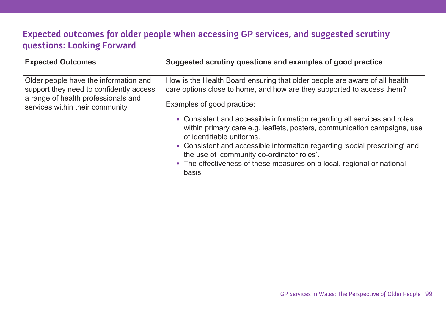## **Expected outcomes for older people when accessing GP services, and suggested scrutiny questions: Looking Forward**

| <b>Expected Outcomes</b>                                                                                                                                    | Suggested scrutiny questions and examples of good practice                                                                                                                                                                                                                                                                                                                                                                                                                                                                                                                              |
|-------------------------------------------------------------------------------------------------------------------------------------------------------------|-----------------------------------------------------------------------------------------------------------------------------------------------------------------------------------------------------------------------------------------------------------------------------------------------------------------------------------------------------------------------------------------------------------------------------------------------------------------------------------------------------------------------------------------------------------------------------------------|
| Older people have the information and<br>support they need to confidently access<br>a range of health professionals and<br>services within their community. | How is the Health Board ensuring that older people are aware of all health<br>care options close to home, and how are they supported to access them?<br>Examples of good practice:<br>• Consistent and accessible information regarding all services and roles<br>within primary care e.g. leaflets, posters, communication campaigns, use<br>of identifiable uniforms.<br>• Consistent and accessible information regarding 'social prescribing' and<br>the use of 'community co-ordinator roles'.<br>• The effectiveness of these measures on a local, regional or national<br>basis. |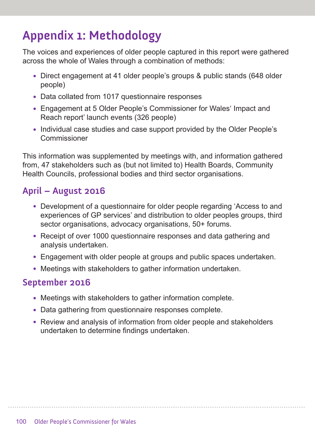# **Appendix 1: Methodology**

The voices and experiences of older people captured in this report were gathered across the whole of Wales through a combination of methods:

- Direct engagement at 41 older people's groups & public stands (648 older people)
- Data collated from 1017 questionnaire responses
- Engagement at 5 Older People's Commissioner for Wales' Impact and Reach report' launch events (326 people)
- Individual case studies and case support provided by the Older People's Commissioner

This information was supplemented by meetings with, and information gathered from, 47 stakeholders such as (but not limited to) Health Boards, Community Health Councils, professional bodies and third sector organisations.

## **April – August 2016**

- Development of a questionnaire for older people regarding 'Access to and experiences of GP services' and distribution to older peoples groups, third sector organisations, advocacy organisations, 50+ forums.
- Receipt of over 1000 questionnaire responses and data gathering and analysis undertaken.
- Engagement with older people at groups and public spaces undertaken.
- Meetings with stakeholders to gather information undertaken.

### **September 2016**

- Meetings with stakeholders to gather information complete.
- Data gathering from questionnaire responses complete.
- Review and analysis of information from older people and stakeholders undertaken to determine findings undertaken.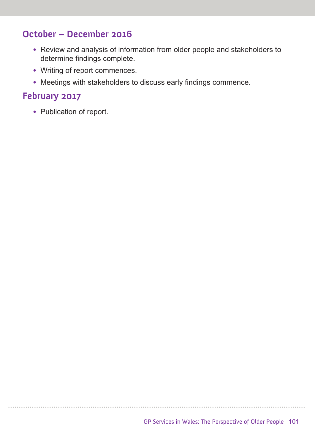## **October – December 2016**

- Review and analysis of information from older people and stakeholders to determine findings complete.
- Writing of report commences.
- Meetings with stakeholders to discuss early findings commence.

### **February 2017**

• Publication of report.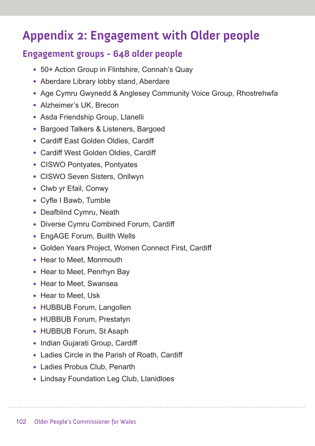# **Appendix 2: Engagement with Older people**

# **Engagement groups - 648 older people**

- 50+ Action Group in Flintshire, Connah's Quay
- Aberdare Library lobby stand, Aberdare
- Age Cymru Gwynedd & Anglesey Community Voice Group, Rhostrehwfa
- Alzheimer's UK, Brecon
- Asda Friendship Group, Llanelli
- Bargoed Talkers & Listeners, Bargoed
- Cardiff East Golden Oldies, Cardiff
- Cardiff West Golden Oldies, Cardiff
- CISWO Pontyates, Pontyates
- CISWO Seven Sisters, Onllwyn
- Clwb yr Efail, Conwy
- Cyfle I Bawb, Tumble
- Deafblind Cymru, Neath
- Diverse Cymru Combined Forum, Cardiff
- EngAGE Forum, Builth Wells
- Golden Years Project, Women Connect First, Cardiff
- Hear to Meet, Monmouth
- Hear to Meet, Penrhyn Bay
- Hear to Meet, Swansea
- Hear to Meet, Usk
- HUBBUB Forum, Langollen
- HUBBUB Forum, Prestatyn
- HUBBUB Forum, St Asaph
- Indian Gujarati Group, Cardiff
- Ladies Circle in the Parish of Roath, Cardiff
- Ladies Probus Club, Penarth
- Lindsay Foundation Leg Club, Llanidloes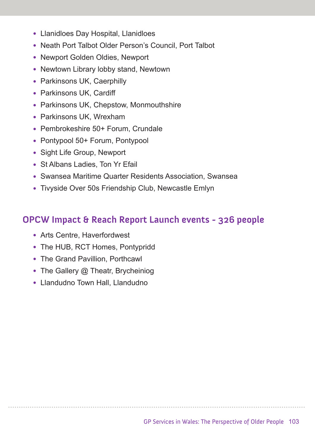- Llanidloes Day Hospital, Llanidloes
- Neath Port Talbot Older Person's Council, Port Talbot
- Newport Golden Oldies, Newport
- Newtown Library lobby stand, Newtown
- Parkinsons UK, Caerphilly
- Parkinsons UK, Cardiff
- Parkinsons UK, Chepstow, Monmouthshire
- Parkinsons UK, Wrexham
- Pembrokeshire 50+ Forum, Crundale
- Pontypool 50+ Forum, Pontypool
- Sight Life Group, Newport
- St Albans Ladies, Ton Yr Efail
- Swansea Maritime Quarter Residents Association, Swansea
- Tivyside Over 50s Friendship Club, Newcastle Emlyn

## **OPCW Impact & Reach Report Launch events - 326 people**

- Arts Centre, Haverfordwest
- The HUB, RCT Homes, Pontypridd
- The Grand Pavillion, Porthcawl
- The Gallery @ Theatr, Brycheiniog
- Llandudno Town Hall, Llandudno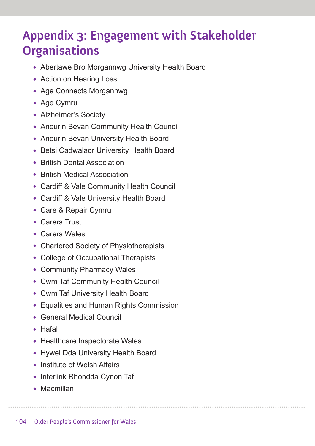# **Appendix 3: Engagement with Stakeholder Organisations**

- Abertawe Bro Morgannwg University Health Board
- Action on Hearing Loss
- Age Connects Morgannwg
- Age Cymru
- Alzheimer's Society
- Aneurin Bevan Community Health Council
- Aneurin Bevan University Health Board
- Betsi Cadwaladr University Health Board
- British Dental Association
- British Medical Association
- Cardiff & Vale Community Health Council
- Cardiff & Vale University Health Board
- Care & Repair Cymru
- Carers Trust
- Carers Wales
- Chartered Society of Physiotherapists
- College of Occupational Therapists
- Community Pharmacy Wales
- Cwm Taf Community Health Council
- Cwm Taf University Health Board
- Equalities and Human Rights Commission

- General Medical Council
- Hafal
- Healthcare Inspectorate Wales
- Hywel Dda University Health Board
- Institute of Welsh Affairs
- Interlink Rhondda Cynon Taf
- Macmillan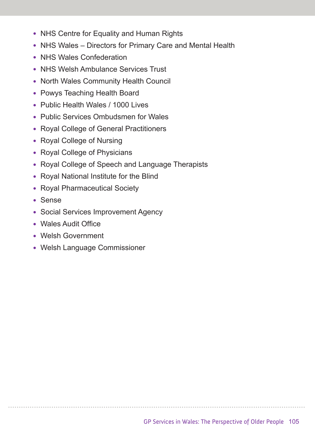- NHS Centre for Equality and Human Rights
- NHS Wales Directors for Primary Care and Mental Health
- NHS Wales Confederation
- NHS Welsh Ambulance Services Trust
- North Wales Community Health Council
- Powys Teaching Health Board
- Public Health Wales / 1000 Lives
- Public Services Ombudsmen for Wales
- Royal College of General Practitioners
- Royal College of Nursing
- Royal College of Physicians
- Royal College of Speech and Language Therapists
- Royal National Institute for the Blind
- Royal Pharmaceutical Society
- Sense
- Social Services Improvement Agency
- Wales Audit Office
- Welsh Government
- Welsh Language Commissioner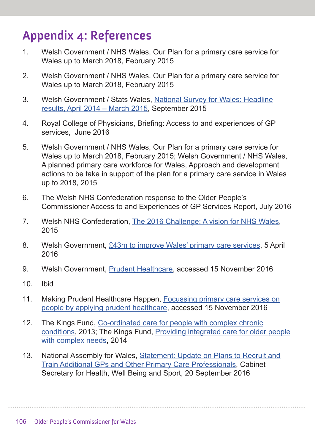# **Appendix 4: References**

- 1. Welsh Government / NHS Wales, Our Plan for a primary care service for Wales up to March 2018, February 2015
- 2. Welsh Government / NHS Wales, Our Plan for a primary care service for Wales up to March 2018, February 2015
- 3. Welsh Government / Stats Wales, National Survey for Wales: Headline results, April 2014 – March 2015, September 2015
- 4. Royal College of Physicians, Briefing: Access to and experiences of GP services, June 2016
- 5. Welsh Government / NHS Wales, Our Plan for a primary care service for Wales up to March 2018, February 2015; Welsh Government / NHS Wales, A planned primary care workforce for Wales, Approach and development actions to be take in support of the plan for a primary care service in Wales up to 2018, 2015
- 6. The Welsh NHS Confederation response to the Older People's Commissioner Access to and Experiences of GP Services Report, July 2016
- 7. Welsh NHS Confederation, The 2016 Challenge: A vision for NHS Wales, 2015
- 8. Welsh Government, £43m to improve Wales' primary care services, 5 April 2016
- 9. Welsh Government, Prudent Healthcare, accessed 15 November 2016
- 10. Ibid
- 11. Making Prudent Healthcare Happen, Focussing primary care services on people by applying prudent healthcare, accessed 15 November 2016
- 12. The Kings Fund, Co-ordinated care for people with complex chronic conditions, 2013; The Kings Fund, Providing integrated care for older people with complex needs, 2014
- 13. National Assembly for Wales, Statement: Update on Plans to Recruit and Train Additional GPs and Other Primary Care Professionals, Cabinet Secretary for Health, Well Being and Sport, 20 September 2016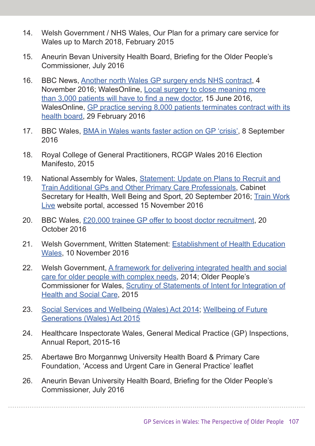- 14. Welsh Government / NHS Wales, Our Plan for a primary care service for Wales up to March 2018, February 2015
- 15. Aneurin Bevan University Health Board, Briefing for the Older People's Commissioner, July 2016
- 16. BBC News, Another north Wales GP surgery ends NHS contract, 4 November 2016; WalesOnline, Local surgery to close meaning more than 3,000 patients will have to find a new doctor, 15 June 2016, WalesOnline, GP practice serving 8,000 patients terminates contract with its health board, 29 February 2016
- 17. BBC Wales, BMA in Wales wants faster action on GP 'crisis', 8 September 2016
- 18. Royal College of General Practitioners, RCGP Wales 2016 Election Manifesto, 2015
- 19. National Assembly for Wales, Statement: Update on Plans to Recruit and Train Additional GPs and Other Primary Care Professionals, Cabinet Secretary for Health, Well Being and Sport, 20 September 2016; Train Work Live website portal, accessed 15 November 2016
- 20. BBC Wales, £20,000 trainee GP offer to boost doctor recruitment, 20 October 2016
- 21. Welsh Government, Written Statement: Establishment of Health Education Wales, 10 November 2016
- 22. Welsh Government, A framework for delivering integrated health and social care for older people with complex needs, 2014; Older People's Commissioner for Wales, Scrutiny of Statements of Intent for Integration of Health and Social Care, 2015
- 23. Social Services and Wellbeing (Wales) Act 2014; Wellbeing of Future Generations (Wales) Act 2015
- 24. Healthcare Inspectorate Wales, General Medical Practice (GP) Inspections, Annual Report, 2015-16
- 25. Abertawe Bro Morgannwg University Health Board & Primary Care Foundation, 'Access and Urgent Care in General Practice' leaflet
- 26. Aneurin Bevan University Health Board, Briefing for the Older People's Commissioner, July 2016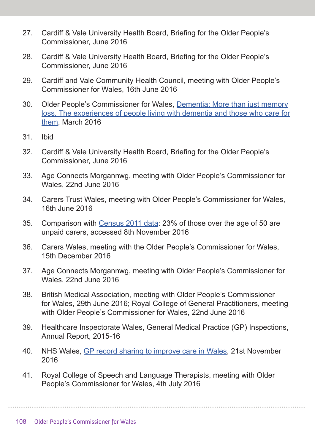- 27. Cardiff & Vale University Health Board, Briefing for the Older People's Commissioner, June 2016
- 28. Cardiff & Vale University Health Board, Briefing for the Older People's Commissioner, June 2016
- 29. Cardiff and Vale Community Health Council, meeting with Older People's Commissioner for Wales, 16th June 2016
- 30. Older People's Commissioner for Wales, Dementia: More than just memory loss, The experiences of people living with dementia and those who care for them, March 2016
- 31. Ibid
- 32. Cardiff & Vale University Health Board, Briefing for the Older People's Commissioner, June 2016
- 33. Age Connects Morgannwg, meeting with Older People's Commissioner for Wales, 22nd June 2016
- 34. Carers Trust Wales, meeting with Older People's Commissioner for Wales, 16th June 2016
- 35. Comparison with Census 2011 data: 23% of those over the age of 50 are unpaid carers, accessed 8th November 2016
- 36. Carers Wales, meeting with the Older People's Commissioner for Wales, 15th December 2016
- 37. Age Connects Morgannwg, meeting with Older People's Commissioner for Wales, 22nd June 2016
- 38. British Medical Association, meeting with Older People's Commissioner for Wales, 29th June 2016; Royal College of General Practitioners, meeting with Older People's Commissioner for Wales, 22nd June 2016
- 39. Healthcare Inspectorate Wales, General Medical Practice (GP) Inspections, Annual Report, 2015-16
- 40. NHS Wales, GP record sharing to improve care in Wales, 21st November 2016
- 41. Royal College of Speech and Language Therapists, meeting with Older People's Commissioner for Wales, 4th July 2016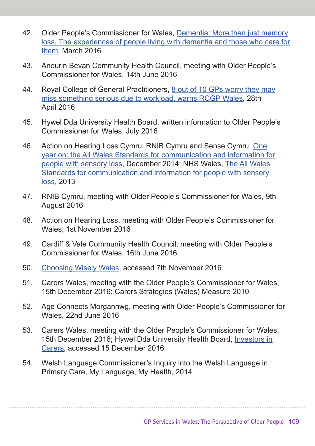- 42. Older People's Commissioner for Wales, Dementia: More than just memory loss, The experiences of people living with dementia and those who care for them, March 2016
- 43. Aneurin Bevan Community Health Council, meeting with Older People's Commissioner for Wales, 14th June 2016
- 44. Royal College of General Practitioners, 8 out of 10 GPs worry they may miss something serious due to workload, warns RCGP Wales, 28th April 2016
- 45. Hywel Dda University Health Board, written information to Older People's Commissioner for Wales, July 2016
- 46. Action on Hearing Loss Cymru, RNIB Cymru and Sense Cymru, One year on: the All Wales Standards for communication and information for people with sensory loss, December 2014; NHS Wales, The All Wales Standards for communication and information for people with sensory loss, 2013
- 47. RNIB Cymru, meeting with Older People's Commissioner for Wales, 9th August 2016
- 48. Action on Hearing Loss, meeting with Older People's Commissioner for Wales, 1st November 2016
- 49. Cardiff & Vale Community Health Council, meeting with Older People's Commissioner for Wales, 16th June 2016
- 50. Choosing Wisely Wales, accessed 7th November 2016
- 51. Carers Wales, meeting with the Older People's Commissioner for Wales, 15th December 2016; Carers Strategies (Wales) Measure 2010
- 52. Age Connects Morgannwg, meeting with Older People's Commissioner for Wales, 22nd June 2016
- 53. Carers Wales, meeting with the Older People's Commissioner for Wales, 15th December 2016; Hywel Dda University Health Board, Investors in Carers, accessed 15 December 2016
- 54. Welsh Language Commissioner's Inquiry into the Welsh Language in Primary Care, My Language, My Health, 2014

.........................................................................................................................................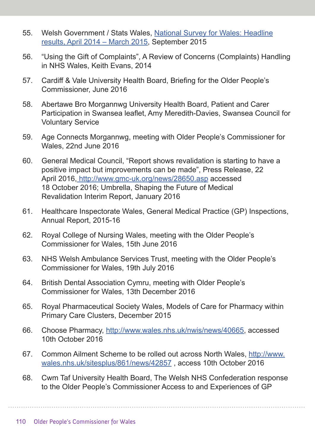- 55. Welsh Government / Stats Wales, National Survey for Wales: Headline results, April 2014 – March 2015, September 2015
- 56. "Using the Gift of Complaints", A Review of Concerns (Complaints) Handling in NHS Wales, Keith Evans, 2014
- 57. Cardiff & Vale University Health Board, Briefing for the Older People's Commissioner, June 2016
- 58. Abertawe Bro Morgannwg University Health Board, Patient and Carer Participation in Swansea leaflet, Amy Meredith-Davies, Swansea Council for Voluntary Service
- 59. Age Connects Morgannwg, meeting with Older People's Commissioner for Wales, 22nd June 2016
- 60. General Medical Council, "Report shows revalidation is starting to have a positive impact but improvements can be made", Press Release, 22 April 2016, http://www.gmc-uk.org/news/28650.asp accessed 18 October 2016; Umbrella, Shaping the Future of Medical Revalidation Interim Report, January 2016
- 61. Healthcare Inspectorate Wales, General Medical Practice (GP) Inspections, Annual Report, 2015-16
- 62. Royal College of Nursing Wales, meeting with the Older People's Commissioner for Wales, 15th June 2016
- 63. NHS Welsh Ambulance Services Trust, meeting with the Older People's Commissioner for Wales, 19th July 2016
- 64. British Dental Association Cymru, meeting with Older People's Commissioner for Wales, 13th December 2016
- 65. Royal Pharmaceutical Society Wales, Models of Care for Pharmacy within Primary Care Clusters, December 2015
- 66. Choose Pharmacy, http://www.wales.nhs.uk/nwis/news/40665, accessed 10th October 2016
- 67. Common Ailment Scheme to be rolled out across North Wales, http://www. wales.nhs.uk/sitesplus/861/news/42857 , access 10th October 2016
- 68. Cwm Taf University Health Board, The Welsh NHS Confederation response to the Older People's Commissioner Access to and Experiences of GP

.........................................................................................................................................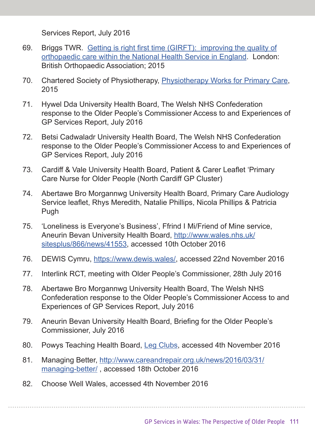Services Report, July 2016

- 69. Briggs TWR. Getting is right first time (GIRFT): improving the quality of orthopaedic care within the National Health Service in England. London: British Orthopaedic Association; 2015
- 70. Chartered Society of Physiotherapy, Physiotherapy Works for Primary Care, 2015
- 71. Hywel Dda University Health Board, The Welsh NHS Confederation response to the Older People's Commissioner Access to and Experiences of GP Services Report, July 2016
- 72. Betsi Cadwaladr University Health Board, The Welsh NHS Confederation response to the Older People's Commissioner Access to and Experiences of GP Services Report, July 2016
- 73. Cardiff & Vale University Health Board, Patient & Carer Leaflet 'Primary Care Nurse for Older People (North Cardiff GP Cluster)
- 74. Abertawe Bro Morgannwg University Health Board, Primary Care Audiology Service leaflet, Rhys Meredith, Natalie Phillips, Nicola Phillips & Patricia Pugh
- 75. 'Loneliness is Everyone's Business', Ffrind I Mi/Friend of Mine service, Aneurin Bevan University Health Board, http://www.wales.nhs.uk/ sitesplus/866/news/41553, accessed 10th October 2016
- 76. DEWIS Cymru, https://www.dewis.wales/, accessed 22nd November 2016
- 77. Interlink RCT, meeting with Older People's Commissioner, 28th July 2016
- 78. Abertawe Bro Morgannwg University Health Board, The Welsh NHS Confederation response to the Older People's Commissioner Access to and Experiences of GP Services Report, July 2016
- 79. Aneurin Bevan University Health Board, Briefing for the Older People's Commissioner, July 2016
- 80. Powys Teaching Health Board, Leg Clubs, accessed 4th November 2016

.........................................................................................................................................

- 81. Managing Better, http://www.careandrepair.org.uk/news/2016/03/31/ managing-better/ , accessed 18th October 2016
- 82. Choose Well Wales, accessed 4th November 2016

GP Services in Wales: The Perspective of Older People 111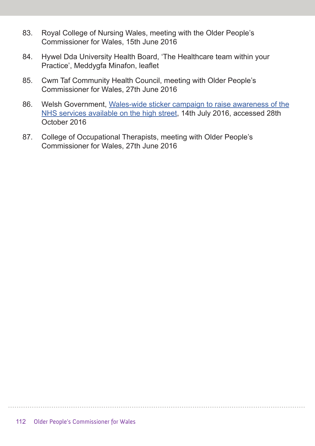- 83. Royal College of Nursing Wales, meeting with the Older People's Commissioner for Wales, 15th June 2016
- 84. Hywel Dda University Health Board, 'The Healthcare team within your Practice', Meddygfa Minafon, leaflet
- 85. Cwm Taf Community Health Council, meeting with Older People's Commissioner for Wales, 27th June 2016
- 86. Welsh Government, Wales-wide sticker campaign to raise awareness of the NHS services available on the high street, 14th July 2016, accessed 28th October 2016

.........................................................................................................................................

87. College of Occupational Therapists, meeting with Older People's Commissioner for Wales, 27th June 2016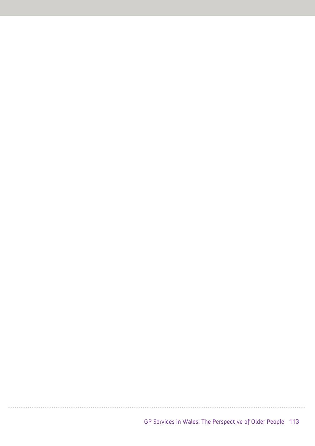GP Services in Wales: The Perspective of Older People 113